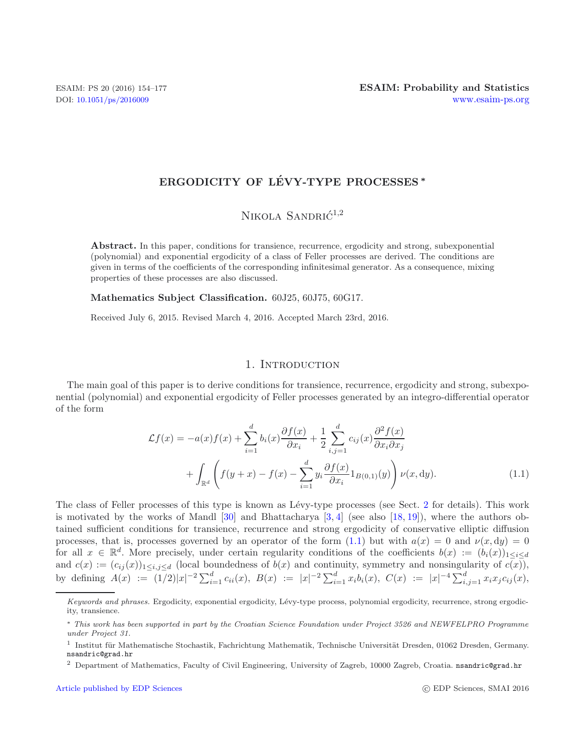# **ERGODICITY OF LEVY-TYPE PROCESSES ´** *<sup>∗</sup>*

## NIKOLA SANDRI $\acute{C}^{1,2}$

**Abstract.** In this paper, conditions for transience, recurrence, ergodicity and strong, subexponential (polynomial) and exponential ergodicity of a class of Feller processes are derived. The conditions are given in terms of the coefficients of the corresponding infinitesimal generator. As a consequence, mixing properties of these processes are also discussed.

**Mathematics Subject Classification.** 60J25, 60J75, 60G17.

Received July 6, 2015. Revised March 4, 2016. Accepted March 23rd, 2016.

### <span id="page-0-0"></span>1. INTRODUCTION

The main goal of this paper is to derive conditions for transience, recurrence, ergodicity and strong, subexponential (polynomial) and exponential ergodicity of Feller processes generated by an integro-differential operator of the form

$$
\mathcal{L}f(x) = -a(x)f(x) + \sum_{i=1}^{d} b_i(x)\frac{\partial f(x)}{\partial x_i} + \frac{1}{2}\sum_{i,j=1}^{d} c_{ij}(x)\frac{\partial^2 f(x)}{\partial x_i \partial x_j} + \int_{\mathbb{R}^d} \left(f(y+x) - f(x) - \sum_{i=1}^{d} y_i \frac{\partial f(x)}{\partial x_i} 1_{B(0,1)}(y)\right) \nu(x, dy).
$$
\n(1.1)

The class of Feller processes of this type is known as Lévy-type processes (see Sect. [2](#page-2-0) for details). This work is motivated by the works of Mandl  $[30]$  and Bhattacharya  $[3, 4]$  $[3, 4]$  $[3, 4]$  (see also  $[18, 19]$  $[18, 19]$  $[18, 19]$ ), where the authors obtained sufficient conditions for transience, recurrence and strong ergodicity of conservative elliptic diffusion processes, that is, processes governed by an operator of the form  $(1.1)$  but with  $a(x) = 0$  and  $\nu(x, dy) = 0$ for all  $x \in \mathbb{R}^d$ . More precisely, under certain regularity conditions of the coefficients  $b(x) := (b_i(x))_{1 \leq i \leq d}$ and  $c(x) := (c_{ij}(x))_{1 \le i,j \le d}$  (local boundedness of  $b(x)$  and continuity, symmetry and nonsingularity of  $c(\overline{x})$ ), by defining  $A(x) := (1/2)|x|^{-2} \sum_{i=1}^d c_{ii}(x)$ ,  $B(x) := |x|^{-2} \sum_{i=1}^d x_i b_i(x)$ ,  $C(x) := |x|^{-4} \sum_{i,j=1}^d x_i x_j c_{ij}(x)$ ,

*Keywords and phrases.* Ergodicity, exponential ergodicity, Lévy-type process, polynomial ergodicity, recurrence, strong ergodicity, transience.

<sup>∗</sup> *This work has been supported in part by the Croatian Science Foundation under Project 3526 and NEWFELPRO Programme under Project 31.*

 $^{\rm 1}$  Institut für Mathematische Stochastik, Fachrichtung Mathematik, Technische Universität Dresden, 01062 Dresden, Germany. nsandric@grad.hr

<sup>2</sup> Department of Mathematics, Faculty of Civil Engineering, University of Zagreb, 10000 Zagreb, Croatia. nsandric@grad.hr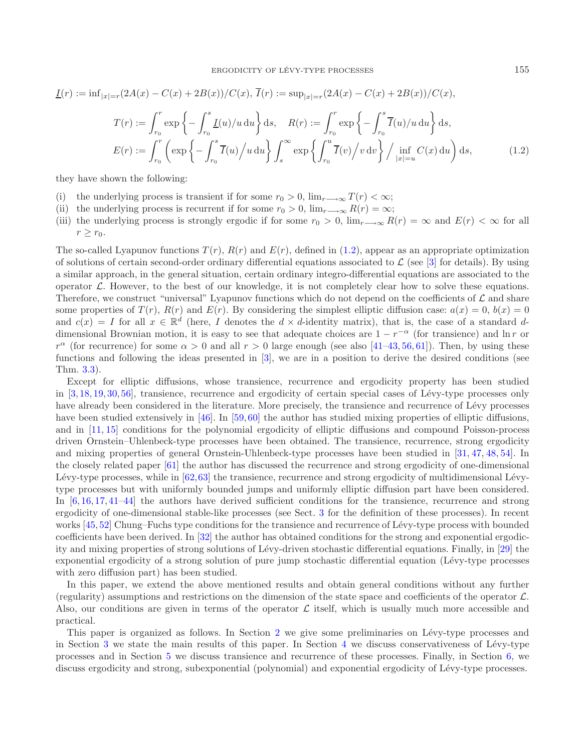<span id="page-1-0"></span>
$$
\underline{I}(r) := \inf_{|x|=r} (2A(x) - C(x) + 2B(x))/C(x), \ \overline{I}(r) := \sup_{|x|=r} (2A(x) - C(x) + 2B(x))/C(x),
$$
\n
$$
T(r) := \int_{r_0}^r \exp\left\{-\int_{r_0}^s \underline{I}(u)/u \, du\right\} ds, \quad R(r) := \int_{r_0}^r \exp\left\{-\int_{r_0}^s \overline{I}(u)/u \, du\right\} ds,
$$
\n
$$
E(r) := \int_{r_0}^r \left(\exp\left\{-\int_{r_0}^s \overline{I}(u)/u \, du\right\}\int_s^\infty \exp\left\{\int_{r_0}^u \overline{I}(v)/v \, dv\right\}/\inf_{|x|=u} C(x) \, du\right) ds,
$$
\n(1.2)

they have shown the following:

- (i) the underlying process is transient if for some  $r_0 > 0$ ,  $\lim_{r \to \infty} T(r) < \infty$ ;
- (ii) the underlying process is recurrent if for some  $r_0 > 0$ ,  $\lim_{r \to \infty} R(r) = \infty$ ;
- (iii) the underlying process is strongly ergodic if for some  $r_0 > 0$ ,  $\lim_{r \to \infty} R(r) = \infty$  and  $E(r) < \infty$  for all  $r > r_0$ .

The so-called Lyapunov functions  $T(r)$ ,  $R(r)$  and  $E(r)$ , defined in [\(1.2\)](#page-1-0), appear as an appropriate optimization of solutions of certain second-order ordinary differential equations associated to  $\mathcal L$  (see [\[3\]](#page-22-1) for details). By using a similar approach, in the general situation, certain ordinary integro-differential equations are associated to the operator  $\mathcal{L}$ . However, to the best of our knowledge, it is not completely clear how to solve these equations. Therefore, we construct "universal" Lyapunov functions which do not depend on the coefficients of  $\mathcal L$  and share some properties of  $T(r)$ ,  $R(r)$  and  $E(r)$ . By considering the simplest elliptic diffusion case:  $a(x) = 0$ ,  $b(x) = 0$ and  $c(x) = I$  for all  $x \in \mathbb{R}^d$  (here, I denotes the  $d \times d$ -identity matrix), that is, the case of a standard ddimensional Brownian motion, it is easy to see that adequate choices are  $1 - r^{-\alpha}$  (for transience) and  $\ln r$  or  $r^{\alpha}$  (for recurrence) for some  $\alpha > 0$  and all  $r > 0$  large enough (see also [\[41](#page-23-0)[–43,](#page-23-1) [56,](#page-23-2) [61](#page-23-3)]). Then, by using these functions and following the ideas presented in [\[3\]](#page-22-1), we are in a position to derive the desired conditions (see Thm. [3.3\)](#page-5-0).

Except for elliptic diffusions, whose transience, recurrence and ergodicity property has been studied in [\[3,](#page-22-1) [18](#page-22-3), [19](#page-22-4), [30](#page-22-0), [56](#page-23-2)], transience, recurrence and ergodicity of certain special cases of Lévy-type processes only have already been considered in the literature. More precisely, the transience and recurrence of Lévy processes have been studied extensively in [\[46](#page-23-4)]. In [\[59](#page-23-5), [60](#page-23-6)] the author has studied mixing properties of elliptic diffusions. and in [\[11](#page-22-5), [15\]](#page-22-6) conditions for the polynomial ergodicity of elliptic diffusions and compound Poisson-process driven Ornstein–Uhlenbeck-type processes have been obtained. The transience, recurrence, strong ergodicity and mixing properties of general Ornstein-Uhlenbeck-type processes have been studied in [\[31](#page-22-7), [47](#page-23-7), [48,](#page-23-8) [54\]](#page-23-9). In the closely related paper [\[61\]](#page-23-3) the author has discussed the recurrence and strong ergodicity of one-dimensional Lévy-type processes, while in  $[62,63]$  $[62,63]$  $[62,63]$  the transience, recurrence and strong ergodicity of multidimensional Lévytype processes but with uniformly bounded jumps and uniformly elliptic diffusion part have been considered. In [\[6,](#page-22-8) [16,](#page-22-9) [17,](#page-22-10) [41](#page-23-0)[–44\]](#page-23-12) the authors have derived sufficient conditions for the transience, recurrence and strong ergodicity of one-dimensional stable-like processes (see Sect. [3](#page-3-0) for the definition of these processes). In recent works [\[45](#page-23-13), [52](#page-23-14)] Chung–Fuchs type conditions for the transience and recurrence of Lévy-type process with bounded coefficients have been derived. In [\[32\]](#page-22-11) the author has obtained conditions for the strong and exponential ergodic-ity and mixing properties of strong solutions of Lévy-driven stochastic differential equations. Finally, in [\[29](#page-22-12)] the exponential ergodicity of a strong solution of pure jump stochastic differential equation (Lévy-type processes with zero diffusion part) has been studied.

In this paper, we extend the above mentioned results and obtain general conditions without any further (regularity) assumptions and restrictions on the dimension of the state space and coefficients of the operator  $\mathcal{L}$ . Also, our conditions are given in terms of the operator  $\mathcal L$  itself, which is usually much more accessible and practical.

This paper is organized as follows. In Section [2](#page-2-0) we give some preliminaries on Lévy-type processes and in Section [3](#page-3-0) we state the main results of this paper. In Section [4](#page-9-0) we discuss conservativeness of Lévy-type processes and in Section [5](#page-13-0) we discuss transience and recurrence of these processes. Finally, in Section [6,](#page-15-0) we discuss ergodicity and strong, subexponential (polynomial) and exponential ergodicity of Lévy-type processes.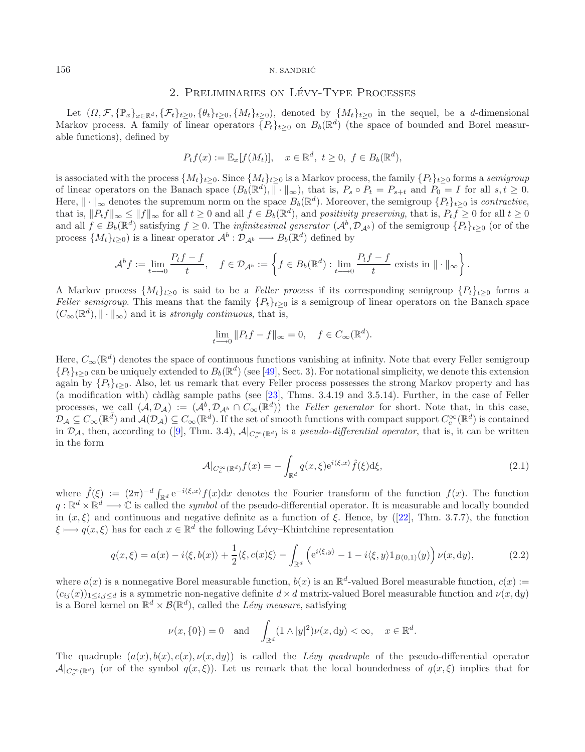#### <span id="page-2-0"></span>156 N. SANDRIĆ

# 2. PRELIMINARIES ON LÉVY-TYPE PROCESSES

Let  $(\Omega, \mathcal{F}, \{\mathbb{P}_x\}_{x\in\mathbb{R}^d}, \{\mathcal{F}_t\}_{t>0}, \{\theta_t\}_{t>0}, \{M_t\}_{t>0})$ , denoted by  $\{M_t\}_{t>0}$  in the sequel, be a d-dimensional Markov process. A family of linear operators  $\{P_t\}_{t>0}$  on  $B_b(\mathbb{R}^d)$  (the space of bounded and Borel measurable functions), defined by

$$
P_t f(x) := \mathbb{E}_x[f(M_t)], \quad x \in \mathbb{R}^d, \ t \ge 0, \ f \in B_b(\mathbb{R}^d),
$$

is associated with the process  $\{M_t\}_{t\geq 0}$ . Since  $\{M_t\}_{t\geq 0}$  is a Markov process, the family  $\{P_t\}_{t\geq 0}$  forms a *semigroup* of linear operators on the Banach space  $(B_b(\mathbb{R}^d), \|\cdot\|_{\infty})$ , that is,  $P_s \circ P_t = P_{s+t}$  and  $P_0 = I$  for all  $s, t \geq 0$ . Here,  $\|\cdot\|_{\infty}$  denotes the supremum norm on the space  $B_b(\mathbb{R}^d)$ . Moreover, the semigroup  $\{P_t\}_{t>0}$  is *contractive*, that is,  $||P_t f||_{\infty} \le ||f||_{\infty}$  for all  $t \ge 0$  and all  $f \in B_b(\mathbb{R}^d)$ , and *positivity preserving*, that is,  $P_t f \ge 0$  for all  $t \ge 0$ and all  $f \in B_b(\mathbb{R}^d)$  satisfying  $f \geq 0$ . The *infinitesimal generator*  $(A^b, \mathcal{D}_{A^b})$  of the semigroup  $\{P_t\}_{t>0}$  (or of the process  $\{M_t\}_{t\geq 0}$  is a linear operator  $\mathcal{A}^b : \mathcal{D}_{\mathcal{A}^b} \longrightarrow B_b(\mathbb{R}^d)$  defined by

$$
\mathcal{A}^b f := \lim_{t \to 0} \frac{P_t f - f}{t}, \quad f \in \mathcal{D}_{\mathcal{A}^b} := \left\{ f \in B_b(\mathbb{R}^d) : \lim_{t \to 0} \frac{P_t f - f}{t} \text{ exists in } \|\cdot\|_{\infty} \right\}.
$$

A Markov process  $\{M_t\}_{t>0}$  is said to be a *Feller process* if its corresponding semigroup  $\{P_t\}_{t>0}$  forms a *Feller semigroup*. This means that the family  $\{P_t\}_{t>0}$  is a semigroup of linear operators on the Banach space  $(C_\infty(\mathbb{R}^d), \|\cdot\|_\infty)$  and it is *strongly continuous*, that is,

<span id="page-2-2"></span><span id="page-2-1"></span>
$$
\lim_{t \to 0} ||P_t f - f||_{\infty} = 0, \quad f \in C_{\infty}(\mathbb{R}^d).
$$

Here,  $C_{\infty}(\mathbb{R}^d)$  denotes the space of continuous functions vanishing at infinity. Note that every Feller semigroup  ${P_t}_{t\geq0}$  can be uniquely extended to  $B_b(\mathbb{R}^d)$  (see [\[49\]](#page-23-15), Sect. 3). For notational simplicity, we denote this extension again by  $\{P_t\}_{t>0}$ . Also, let us remark that every Feller process possesses the strong Markov property and has (a modification with) càdlàg sample paths (see  $[23]$ , Thms. 3.4.19 and 3.5.14). Further, in the case of Feller processes, we call  $(A, \mathcal{D}_\mathcal{A}) := (\mathcal{A}^b, \mathcal{D}_{\mathcal{A}^b} \cap C_\infty(\mathbb{R}^d))$  the *Feller generator* for short. Note that, in this case,  $\mathcal{D}_\mathcal{A} \subseteq C_\infty(\mathbb{R}^d)$  and  $\mathcal{A}(\mathcal{D}_\mathcal{A}) \subseteq C_\infty(\mathbb{R}^d)$ . If the set of smooth functions with compact support  $C_c^\infty(\mathbb{R}^d)$  is contained in  $\mathcal{D}_\mathcal{A}$ , then, according to ([\[9\]](#page-22-14), Thm. 3.4),  $\mathcal{A}|_{C^\infty(\mathbb{R}^d)}$  is a *pseudo-differential operator*, that is, it can be written in the form

$$
\mathcal{A}|_{C_c^{\infty}(\mathbb{R}^d)} f(x) = -\int_{\mathbb{R}^d} q(x,\xi) e^{i\langle \xi, x \rangle} \hat{f}(\xi) d\xi,
$$
\n(2.1)

where  $\hat{f}(\xi) := (2\pi)^{-d} \int_{\mathbb{R}^d} e^{-i\langle \xi, x \rangle} f(x) dx$  denotes the Fourier transform of the function  $f(x)$ . The function  $q: \mathbb{R}^d \times \mathbb{R}^d \longrightarrow \mathbb{C}$  is called the *symbol* of the pseudo-differential operator. It is measurable and locally bounded in  $(x, \xi)$  and continuous and negative definite as a function of  $\xi$ . Hence, by ([\[22\]](#page-22-15), Thm. 3.7.7), the function  $\xi \mapsto q(x,\xi)$  has for each  $x \in \mathbb{R}^d$  the following Lévy–Khintchine representation

$$
q(x,\xi) = a(x) - i\langle \xi, b(x) \rangle + \frac{1}{2} \langle \xi, c(x)\xi \rangle - \int_{\mathbb{R}^d} \left( e^{i\langle \xi, y \rangle} - 1 - i\langle \xi, y \rangle 1_{B(0,1)}(y) \right) \nu(x, dy), \tag{2.2}
$$

where  $a(x)$  is a nonnegative Borel measurable function,  $b(x)$  is an  $\mathbb{R}^d$ -valued Borel measurable function,  $c(x)$  :=  $(c_{ij}(x))_{1\leq i,j\leq d}$  is a symmetric non-negative definite  $d\times d$  matrix-valued Borel measurable function and  $\nu(x, dy)$ is a Borel kernel on  $\mathbb{R}^d \times \mathcal{B}(\mathbb{R}^d)$ , called the *Lévy measure*, satisfying

$$
\nu(x,\{0\})=0 \quad \text{and} \quad \int_{\mathbb{R}^d} (1 \wedge |y|^2) \nu(x,\mathrm{d}y) < \infty, \quad x \in \mathbb{R}^d.
$$

The quadruple  $(a(x), b(x), c(x), \nu(x, dy))$  is called the *Lévy quadruple* of the pseudo-differential operator  $\mathcal{A}|_{C^{\infty}(\mathbb{R}^d)}$  (or of the symbol  $q(x,\xi)$ ). Let us remark that the local boundedness of  $q(x,\xi)$  implies that for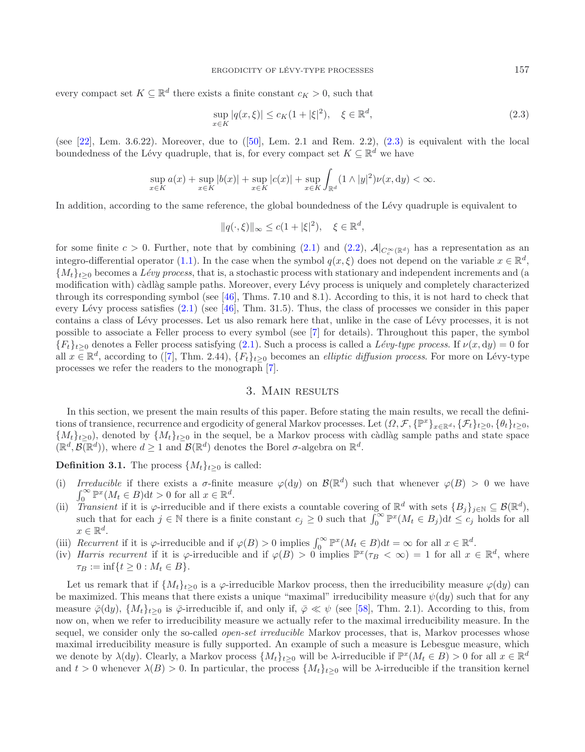every compact set  $K \subseteq \mathbb{R}^d$  there exists a finite constant  $c_K > 0$ , such that

<span id="page-3-1"></span>
$$
\sup_{x \in K} |q(x,\xi)| \le c_K (1+|\xi|^2), \quad \xi \in \mathbb{R}^d,
$$
\n(2.3)

(see  $[22]$ , Lem. 3.6.22). Moreover, due to  $([50]$  $([50]$  $([50]$ , Lem. 2.1 and Rem. 2.2),  $(2.3)$  is equivalent with the local boundedness of the Lévy quadruple, that is, for every compact set  $K \subseteq \mathbb{R}^d$  we have

$$
\sup_{x \in K} a(x) + \sup_{x \in K} |b(x)| + \sup_{x \in K} |c(x)| + \sup_{x \in K} \int_{\mathbb{R}^d} (1 \wedge |y|^2) \nu(x, dy) < \infty.
$$

In addition, according to the same reference, the global boundedness of the Lévy quadruple is equivalent to

$$
||q(\cdot,\xi)||_{\infty} \leq c(1+|\xi|^2), \quad \xi \in \mathbb{R}^d,
$$

for some finite  $c > 0$ . Further, note that by combining [\(2.1\)](#page-2-1) and [\(2.2\)](#page-2-2),  $\mathcal{A}|_{C^{\infty}(\mathbb{R}^d)}$  has a representation as an integro-differential operator [\(1.1\)](#page-0-0). In the case when the symbol  $q(x, \xi)$  does not depend on the variable  $x \in \mathbb{R}^d$ ,  ${M_t}_{t\geq0}$  becomes a *Lévy process*, that is, a stochastic process with stationary and independent increments and (a modification with) càdlàg sample paths. Moreover, every Lévy process is uniquely and completely characterized through its corresponding symbol (see [\[46](#page-23-4)], Thms. 7.10 and 8.1). According to this, it is not hard to check that every Lévy process satisfies  $(2.1)$  (see [\[46\]](#page-23-4), Thm. 31.5). Thus, the class of processes we consider in this paper contains a class of Lévy processes. Let us also remark here that, unlike in the case of Lévy processes, it is not possible to associate a Feller process to every symbol (see [\[7\]](#page-22-16) for details). Throughout this paper, the symbol  ${F_t}_{t\geq0}$  denotes a Feller process satisfying [\(2.1\)](#page-2-1). Such a process is called a *Lévy-type process*. If  $\nu(x, dy) = 0$  for all  $x \in \mathbb{R}^d$ , according to ([\[7\]](#page-22-16), Thm. 2.44),  $\{F_t\}_{t>0}$  becomes an *elliptic diffusion process*. For more on Lévy-type processes we refer the readers to the monograph [\[7](#page-22-16)].

## 3. Main results

<span id="page-3-0"></span>In this section, we present the main results of this paper. Before stating the main results, we recall the definitions of transience, recurrence and ergodicity of general Markov processes. Let  $(\Omega, \mathcal{F}, \{\mathbb{P}^x\}_{x\in\mathbb{R}^d}, \{\mathcal{F}_t\}_{t>0}, \{\theta_t\}_{t>0}$  $\{M_t\}_{t>0}$ , denoted by  $\{M_t\}_{t>0}$  in the sequel, be a Markov process with càdlàg sample paths and state space  $(\mathbb{R}^d, \mathcal{B}(\mathbb{R}^d))$ , where  $d \geq 1$  and  $\mathcal{B}(\mathbb{R}^d)$  denotes the Borel  $\sigma$ -algebra on  $\mathbb{R}^d$ .

**Definition 3.1.** The process  $\{M_t\}_{t>0}$  is called:

- *Irreducible* if there exists a  $\sigma$ -finite measure  $\varphi(dy)$  on  $\mathcal{B}(\mathbb{R}^d)$  such that whenever  $\varphi(B) > 0$  we have  $\int_0^\infty \mathbb{P}^x(M_t \in B) dt > 0$  for all  $x \in \mathbb{R}^d$ .
- (ii) *Transient* if it is  $\varphi$ -irreducible and if there exists a countable covering of  $\mathbb{R}^d$  with sets  $\{B_j\}_{j\in\mathbb{N}}\subseteq \mathcal{B}(\mathbb{R}^d)$ , such that for each  $j \in \mathbb{N}$  there is a finite constant  $c_j \geq 0$  such that  $\int_0^\infty \mathbb{P}^x(M_t \in B_j) dt \leq c_j$  holds for all  $x \in \mathbb{R}^d$ .
- (iii) *Recurrent* if it is  $\varphi$ -irreducible and if  $\varphi(B) > 0$  implies  $\int_0^\infty \mathbb{P}^x(M_t \in B) dt = \infty$  for all  $x \in \mathbb{R}^d$ .
- (iv) *Harris recurrent* if it is  $\varphi$ -irreducible and if  $\varphi(B) > 0$  implies  $\mathbb{P}^x(\tau_B < \infty) = 1$  for all  $x \in \mathbb{R}^d$ , where  $\tau_B := \inf\{t \geq 0 : M_t \in B\}.$

Let us remark that if  $\{M_t\}_{t>0}$  is a  $\varphi$ -irreducible Markov process, then the irreducibility measure  $\varphi(dy)$  can be maximized. This means that there exists a unique "maximal" irreducibility measure  $\psi(\mathrm{d}y)$  such that for any measure  $\bar{\varphi}(\mathrm{d}y)$ ,  $\{M_t\}_{t>0}$  is  $\bar{\varphi}$ -irreducible if, and only if,  $\bar{\varphi} \ll \psi$  (see [\[58\]](#page-23-17), Thm. 2.1). According to this, from now on, when we refer to irreducibility measure we actually refer to the maximal irreducibility measure. In the sequel, we consider only the so-called *open-set irreducible* Markov processes, that is, Markov processes whose maximal irreducibility measure is fully supported. An example of such a measure is Lebesgue measure, which we denote by  $\lambda(dy)$ . Clearly, a Markov process  $\{M_t\}_{t\geq0}$  will be  $\lambda$ -irreducible if  $\mathbb{P}^x(M_t \in B) > 0$  for all  $x \in \mathbb{R}^d$ and  $t > 0$  whenever  $\lambda(B) > 0$ . In particular, the process  $\{M_t\}_{t>0}$  will be  $\lambda$ -irreducible if the transition kernel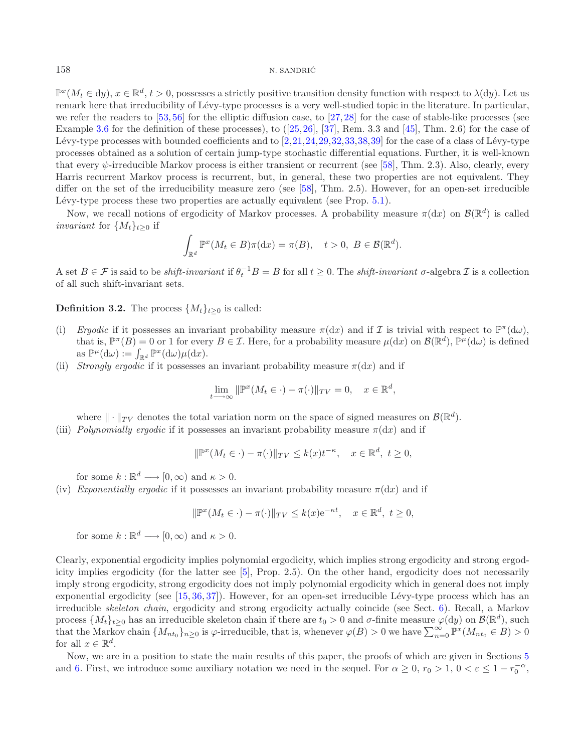$\mathbb{P}^{x}(M_t \in d\mathcal{y}), x \in \mathbb{R}^d, t > 0$ , possesses a strictly positive transition density function with respect to  $\lambda(dy)$ . Let us remark here that irreducibility of Lévy-type processes is a very well-studied topic in the literature. In particular, we refer the readers to [\[53,](#page-23-18) [56\]](#page-23-2) for the elliptic diffusion case, to [\[27](#page-22-17), [28](#page-22-18)] for the case of stable-like processes (see Example [3.6](#page-7-0) for the definition of these processes), to ([\[25](#page-22-19)[,26\]](#page-22-20), [\[37\]](#page-23-19), Rem. 3.3 and [\[45](#page-23-13)], Thm. 2.6) for the case of Lévy-type processes with bounded coefficients and to  $[2,21,24,29,32,33,38,39]$  $[2,21,24,29,32,33,38,39]$  $[2,21,24,29,32,33,38,39]$  $[2,21,24,29,32,33,38,39]$  $[2,21,24,29,32,33,38,39]$  $[2,21,24,29,32,33,38,39]$  $[2,21,24,29,32,33,38,39]$  $[2,21,24,29,32,33,38,39]$  for the case of a class of Lévy-type processes obtained as a solution of certain jump-type stochastic differential equations. Further, it is well-known that every  $\psi$ -irreducible Markov process is either transient or recurrent (see [\[58\]](#page-23-17), Thm. 2.3). Also, clearly, every Harris recurrent Markov process is recurrent, but, in general, these two properties are not equivalent. They differ on the set of the irreducibility measure zero (see [\[58\]](#page-23-17), Thm. 2.5). However, for an open-set irreducible Lévy-type process these two properties are actually equivalent (see Prop.  $5.1$ ).

Now, we recall notions of ergodicity of Markov processes. A probability measure  $\pi(dx)$  on  $\mathcal{B}(\mathbb{R}^d)$  is called *invariant* for  $\{M_t\}_{t>0}$  if

$$
\int_{\mathbb{R}^d} \mathbb{P}^x(M_t \in B) \pi(\mathrm{d}x) = \pi(B), \quad t > 0, \ B \in \mathcal{B}(\mathbb{R}^d).
$$

A set  $B \in \mathcal{F}$  is said to be *shift-invariant* if  $\theta_t^{-1}B = B$  for all  $t \geq 0$ . The *shift-invariant*  $\sigma$ -algebra  $\mathcal{I}$  is a collection of all such shift-invariant sets.

**Definition 3.2.** The process  $\{M_t\}_{t>0}$  is called:

- (i) *Ergodic* if it possesses an invariant probability measure  $\pi(dx)$  and if I is trivial with respect to  $\mathbb{P}^{\pi}(dx)$ , that is,  $\mathbb{P}^{\pi}(B) = 0$  or 1 for every  $B \in \mathcal{I}$ . Here, for a probability measure  $\mu(dx)$  on  $\mathcal{B}(\mathbb{R}^d)$ ,  $\mathbb{P}^{\mu}(d\omega)$  is defined as  $\mathbb{P}^{\mu}(\mathrm{d}\omega) := \int_{\mathbb{R}^d} \mathbb{P}^x(\mathrm{d}\omega)\mu(\mathrm{d}x).$
- (ii) *Strongly ergodic* if it possesses an invariant probability measure  $\pi(dx)$  and if

$$
\lim_{t \to \infty} \|\mathbb{P}^x(M_t \in \cdot) - \pi(\cdot)\|_{TV} = 0, \quad x \in \mathbb{R}^d,
$$

where  $\|\cdot\|_{TV}$  denotes the total variation norm on the space of signed measures on  $\mathcal{B}(\mathbb{R}^d)$ .

(iii) *Polynomially ergodic* if it possesses an invariant probability measure  $\pi(dx)$  and if

$$
\|\mathbb{P}^x(M_t \in \cdot) - \pi(\cdot)\|_{TV} \le k(x)t^{-\kappa}, \quad x \in \mathbb{R}^d, \ t \ge 0,
$$

for some  $k : \mathbb{R}^d \longrightarrow [0, \infty)$  and  $\kappa > 0$ .

(iv) *Exponentially ergodic* if it possesses an invariant probability measure  $\pi(dx)$  and if

$$
\|\mathbb{P}^x(M_t \in \cdot) - \pi(\cdot)\|_{TV} \le k(x) e^{-\kappa t}, \quad x \in \mathbb{R}^d, \ t \ge 0,
$$

for some  $k : \mathbb{R}^d \longrightarrow [0, \infty)$  and  $\kappa > 0$ .

Clearly, exponential ergodicity implies polynomial ergodicity, which implies strong ergodicity and strong ergodicity implies ergodicity (for the latter see [\[5\]](#page-22-25), Prop. 2.5). On the other hand, ergodicity does not necessarily imply strong ergodicity, strong ergodicity does not imply polynomial ergodicity which in general does not imply exponential ergodicity (see  $[15, 36, 37]$  $[15, 36, 37]$  $[15, 36, 37]$  $[15, 36, 37]$  $[15, 36, 37]$ ). However, for an open-set irreducible Lévy-type process which has an irreducible *skeleton chain*, ergodicity and strong ergodicity actually coincide (see Sect. [6\)](#page-15-0). Recall, a Markov process  $\{M_t\}_{t>0}$  has an irreducible skeleton chain if there are  $t_0 > 0$  and  $\sigma$ -finite measure  $\varphi(dy)$  on  $\mathcal{B}(\mathbb{R}^d)$ , such that the Markov chain  $\{M_{nt_0}\}_{n\geq 0}$  is  $\varphi$ -irreducible, that is, whenever  $\varphi(B) > 0$  we have  $\sum_{n=0}^{\infty} \mathbb{P}^x(M_{nt_0} \in B) > 0$ for all  $x \in \mathbb{R}^d$ .

Now, we are in a position to state the main results of this paper, the proofs of which are given in Sections [5](#page-13-0) and [6.](#page-15-0) First, we introduce some auxiliary notation we need in the sequel. For  $\alpha \geq 0$ ,  $r_0 > 1$ ,  $0 < \varepsilon \leq 1 - r_0^{-\alpha}$ ,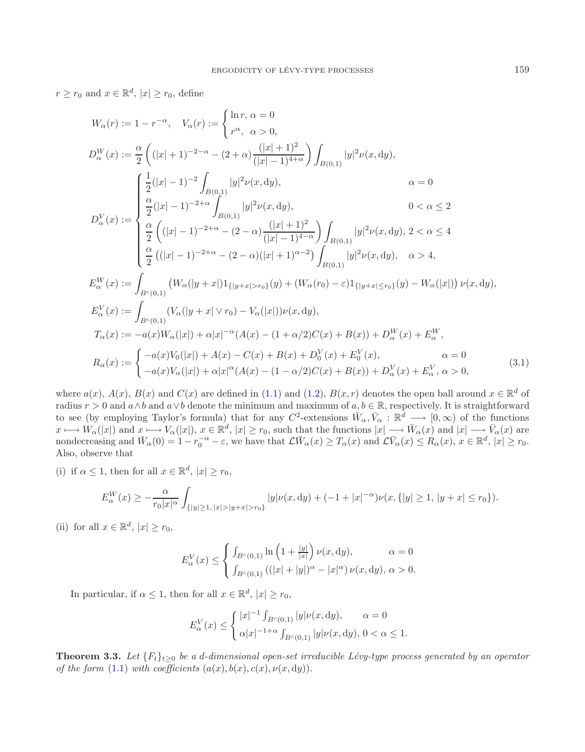$r \geq r_0$  and  $x \in \mathbb{R}^d$ ,  $|x| \geq r_0$ , define

<span id="page-5-1"></span>
$$
W_{\alpha}(r) := 1 - r^{-\alpha}, \quad V_{\alpha}(r) := \begin{cases} \ln r, \alpha = 0 \\ r^{\alpha}, \alpha > 0, \end{cases}
$$
  
\n
$$
D_{\alpha}^{W}(x) := \frac{\alpha}{2} \left( (|x| + 1)^{-2 - \alpha} - (2 + \alpha) \frac{(|x| + 1)^{2}}{(|x| - 1)^{4 + \alpha}} \right) \int_{B(0,1)} |y|^{2} \nu(x, dy), \alpha = 0
$$
  
\n
$$
D_{\alpha}^{V}(x) := \begin{cases} \frac{1}{2}(|x| - 1)^{-2} \int_{B(0,1)} |y|^{2} \nu(x, dy), \alpha = 0 \\ \frac{\alpha}{2}(|x| - 1)^{-2 + \alpha} \int_{B(0,1)} |y|^{2} \nu(x, dy), \alpha = 0 \\ \frac{\alpha}{2} \left( (|x| - 1)^{-2 + \alpha} - (2 - \alpha) \frac{(|x| + 1)^{2}}{(|x| - 1)^{4 - \alpha}} \right) \int_{B(0,1)} |y|^{2} \nu(x, dy), 2 < \alpha \le 4 \\ \frac{\alpha}{2} \left( (|x| - 1)^{-2 + \alpha} - (2 - \alpha)(|x| + 1)^{\alpha - 2} \right) \int_{B(0,1)} |y|^{2} \nu(x, dy), \alpha > 4, \alpha^{W}(x) := \int_{B^{c}(0,1)} (W_{\alpha}(|y + x|) 1_{\{|y + x| > r_{0}\}}(y) + (W_{\alpha}(r_{0}) - \varepsilon) 1_{\{|y + x| \le r_{0}\}}(y) - W_{\alpha}(|x|)) \nu(x, dy),
$$
  
\n
$$
E_{\alpha}^{V}(x) := \int_{B^{c}(0,1)} (V_{\alpha}(|y + x| \vee r_{0}) - V_{\alpha}(|x|)) \nu(x, dy),
$$
  
\n
$$
T_{\alpha}(x) := -a(x) W_{\alpha}(|x|) + \alpha |x|^{-\alpha} (A(x) - (1 + \alpha/2)C(x) + B(x)) + D_{\alpha}^{W}(x) + E_{\alpha}^{W},
$$
  
\n
$$
R_{\alpha}(x) := \begin{cases} -a(x) V_{\alpha}(|x|) + \alpha |x|^{\alpha} (A(x) - (1 - \
$$

where  $a(x)$ ,  $A(x)$ ,  $B(x)$  and  $C(x)$  are defined in [\(1.1\)](#page-0-0) and [\(1.2\)](#page-1-0),  $B(x,r)$  denotes the open ball around  $x \in \mathbb{R}^d$  of radius  $r > 0$  and  $a \wedge b$  and  $a \vee b$  denote the minimum and maximum of  $a, b \in \mathbb{R}$ , respectively. It is straightforward to see (by employing Taylor's formula) that for any  $C^2$ -extensions  $\bar{W}_{\alpha}, \bar{V}_{\alpha} : \mathbb{R}^d \longrightarrow [0, \infty)$  of the functions  $x \longmapsto W_{\alpha}(|x|) \text{ and } x \longmapsto V_{\alpha}(|x|), x \in \mathbb{R}^d, |x| \geq r_0 \text{, such that the functions } |x| \longrightarrow \bar{W}_{\alpha}(x) \text{ and } |x| \longrightarrow \bar{V}_{\alpha}(x) \text{ are } \bar{V}_{\alpha}(|x|)$ nondecreasing and  $\bar{W}_{\alpha}(0) = 1 - r_0^{-\alpha} - \varepsilon$ , we have that  $\mathcal{L}\bar{W}_{\alpha}(x) \geq T_{\alpha}(x)$  and  $\mathcal{L}\bar{V}_{\alpha}(x) \leq R_{\alpha}(x)$ ,  $x \in \mathbb{R}^d$ ,  $|x| \geq r_0$ . Also, observe that

(i) if  $\alpha \leq 1$ , then for all  $x \in \mathbb{R}^d$ ,  $|x| \geq r_0$ ,

$$
E^W_\alpha(x) \ge -\frac{\alpha}{r_0|x|^\alpha} \int_{\{|y| \ge 1, |x| > |y+x| > r_0\}} |y| \nu(x, dy) + (-1 + |x|^{-\alpha}) \nu(x, \{|y| \ge 1, |y+x| \le r_0\}).
$$

(ii) for all  $x \in \mathbb{R}^d$ ,  $|x| \ge r_0$ ,

$$
E_{\alpha}^{V}(x) \leq \begin{cases} \int_{B^{c}(0,1)} \ln\left(1 + \frac{|y|}{|x|}\right) \nu(x, \mathrm{d}y), & \alpha = 0\\ \int_{B^{c}(0,1)} \left( (|x| + |y|)^{\alpha} - |x|^{\alpha} \right) \nu(x, \mathrm{d}y), & \alpha > 0. \end{cases}
$$

In particular, if  $\alpha \leq 1$ , then for all  $x \in \mathbb{R}^d$ ,  $|x| \geq r_0$ ,

$$
E_{\alpha}^{V}(x) \leq \begin{cases} |x|^{-1} \int_{B^{c}(0,1)} |y| \nu(x, dy), & \alpha = 0 \\ \alpha |x|^{-1+\alpha} \int_{B^{c}(0,1)} |y| \nu(x, dy), 0 < \alpha \leq 1. \end{cases}
$$

<span id="page-5-0"></span>**Theorem 3.3.** *Let*  ${F_t}_{t\geq0}$  *be a d-dimensional open-set irreducible Lévy-type process generated by an operator of the form*  $(1.1)$  *with coefficients*  $(a(x), b(x), c(x), \nu(x, dy))$ .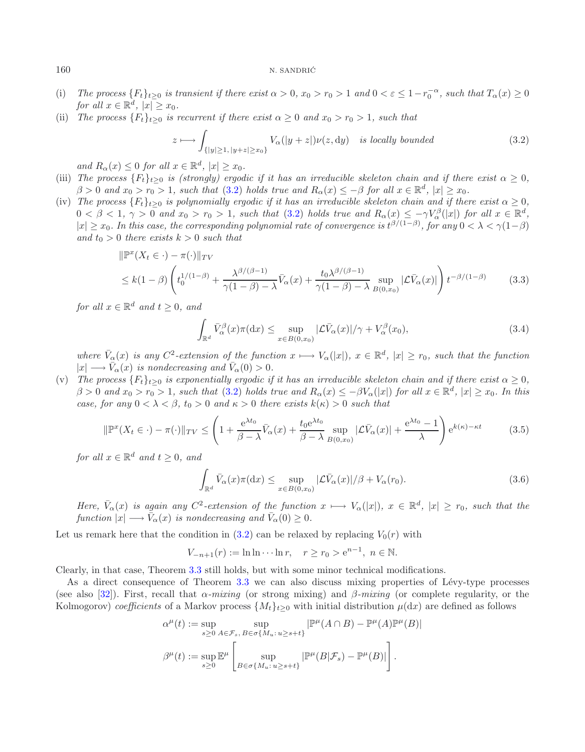#### 160 N. SANDRIĆ

- (i) *The process*  ${F_t}_{t\geq0}$  *is transient if there exist*  $\alpha > 0$ ,  $x_0 > r_0 > 1$  *and*  $0 < \varepsilon \leq 1-r_0^{-\alpha}$ , *such that*  $T_\alpha(x) \geq 0$ *for all*  $x \in \mathbb{R}^d$ ,  $|x| \geq x_0$ *.*
- (ii) *The process*  ${F_t}_{t\geq0}$  *is recurrent if there exist*  $\alpha \geq 0$  *and*  $x_0 > r_0 > 1$ *, such that*

<span id="page-6-2"></span><span id="page-6-1"></span><span id="page-6-0"></span>
$$
z \longmapsto \int_{\{|y| \ge 1, |y+z| \ge x_0\}} V_{\alpha}(|y+z|) \nu(z, dy) \quad \text{is locally bounded}
$$
 (3.2)

*and*  $R_{\alpha}(x) \leq 0$  *for all*  $x \in \mathbb{R}^d$ ,  $|x| \geq x_0$ *.* 

- (iii) *The process*  ${F_t}_{t\geq 0}$  *is (strongly) ergodic if it has an irreducible skeleton chain and if there exist*  $\alpha \geq 0$ ,  $\beta > 0$  and  $x_0 > r_0 > 1$ , such that [\(3.2\)](#page-6-0) holds true and  $R_\alpha(x) \leq -\beta$  for all  $x \in \mathbb{R}^d$ ,  $|x| \geq x_0$ .
- (iv) The process  ${F_t}_{t\geq0}$  is polynomially ergodic if it has an irreducible skeleton chain and if there exist  $\alpha \geq 0$ ,  $0 < \beta < 1, \gamma > 0$  and  $x_0 > r_0 > 1$ , such that [\(3.2\)](#page-6-0) holds true and  $R_\alpha(x) \leq -\gamma V_\alpha^\beta(|x|)$  for all  $x \in \mathbb{R}^d$ ,  $|x| \geq x_0$ . In this case, the corresponding polynomial rate of convergence is  $t^{\beta/(1-\beta)}$ , for any  $0 < \lambda < \gamma(1-\beta)$ *and*  $t_0 > 0$  *there exists*  $k > 0$  *such that*

$$
\|\mathbb{P}^x(X_t \in \cdot) - \pi(\cdot)\|_{TV}
$$
  
\n
$$
\leq k(1-\beta) \left( t_0^{1/(1-\beta)} + \frac{\lambda^{\beta/(\beta-1)}}{\gamma(1-\beta) - \lambda} \bar{V}_\alpha(x) + \frac{t_0 \lambda^{\beta/(\beta-1)}}{\gamma(1-\beta) - \lambda} \sup_{B(0,x_0)} |\mathcal{L}\bar{V}_\alpha(x)| \right) t^{-\beta/(1-\beta)} \tag{3.3}
$$

*for all*  $x \in \mathbb{R}^d$  *and*  $t \geq 0$ *, and* 

<span id="page-6-4"></span><span id="page-6-3"></span>
$$
\int_{\mathbb{R}^d} \bar{V}_{\alpha}^{\beta}(x)\pi(\mathrm{d}x) \le \sup_{x \in B(0,x_0)} |\mathcal{L}\bar{V}_{\alpha}(x)|/\gamma + V_{\alpha}^{\beta}(x_0),\tag{3.4}
$$

*where*  $\bar{V}_{\alpha}(x)$  *is any*  $C^2$ -extension of the function  $x \mapsto V_{\alpha}(|x|)$ ,  $x \in \mathbb{R}^d$ ,  $|x| \ge r_0$ , such that the function  $|x| \longrightarrow \bar{V}_{\alpha}(x)$  *is nondecreasing and*  $\bar{V}_{\alpha}(0) > 0$ *.* 

(v) *The process*  ${F_t}_{t\geq0}$  *is exponentially ergodic if it has an irreducible skeleton chain and if there exist*  $\alpha \geq 0$ ,  $\beta > 0$  and  $x_0 > r_0 > 1$ , such that [\(3.2\)](#page-6-0) holds true and  $R_\alpha(x) \leq -\beta V_\alpha(|x|)$  for all  $x \in \mathbb{R}^d$ ,  $|x| \geq x_0$ . In this *case, for any*  $0 < \lambda < \beta$ ,  $t_0 > 0$  *and*  $\kappa > 0$  *there exists*  $k(\kappa) > 0$  *such that* 

$$
\|\mathbb{P}^x(X_t \in \cdot) - \pi(\cdot)\|_{TV} \le \left(1 + \frac{e^{\lambda t_0}}{\beta - \lambda} \bar{V}_\alpha(x) + \frac{t_0 e^{\lambda t_0}}{\beta - \lambda} \sup_{B(0, x_0)} |\mathcal{L}\bar{V}_\alpha(x)| + \frac{e^{\lambda t_0} - 1}{\lambda}\right) e^{k(\kappa) - \kappa t}
$$
(3.5)

*for all*  $x \in \mathbb{R}^d$  *and*  $t > 0$ *, and* 

$$
\int_{\mathbb{R}^d} \bar{V}_{\alpha}(x)\pi(\mathrm{d}x) \le \sup_{x \in B(0,x_0)} |\mathcal{L}\bar{V}_{\alpha}(x)|/\beta + V_{\alpha}(r_0). \tag{3.6}
$$

*Here,*  $\bar{V}_{\alpha}(x)$  *is again any*  $C^2$ -extension of the function  $x \mapsto V_{\alpha}(|x|)$ ,  $x \in \mathbb{R}^d$ ,  $|x| \ge r_0$ , such that the *function*  $|x| \longrightarrow \overline{V}_{\alpha}(x)$  *is nondecreasing and*  $\overline{V}_{\alpha}(0) \geq 0$ *.* 

Let us remark here that the condition in  $(3.2)$  can be relaxed by replacing  $V_0(r)$  with

 $V_{-n+1}(r) := \ln \ln \cdots \ln r$ ,  $r \ge r_0 > e^{n-1}$ ,  $n \in \mathbb{N}$ .

Clearly, in that case, Theorem [3.3](#page-5-0) still holds, but with some minor technical modifications.

As a direct consequence of Theorem [3.3](#page-5-0) we can also discuss mixing properties of Lévy-type processes (see also [\[32](#page-22-11)]). First, recall that α*-mixing* (or strong mixing) and β*-mixing* (or complete regularity, or the Kolmogorov) *coefficients* of a Markov process  $\{M_t\}_{t>0}$  with initial distribution  $\mu(dx)$  are defined as follows

$$
\alpha^{\mu}(t) := \sup_{s \geq 0} \sup_{A \in \mathcal{F}_s, B \in \sigma\{M_u : u \geq s+t\}} |\mathbb{P}^{\mu}(A \cap B) - \mathbb{P}^{\mu}(A)\mathbb{P}^{\mu}(B)|
$$
  

$$
\beta^{\mu}(t) := \sup_{s \geq 0} \mathbb{E}^{\mu} \left[ \sup_{B \in \sigma\{M_u : u \geq s+t\}} |\mathbb{P}^{\mu}(B|\mathcal{F}_s) - \mathbb{P}^{\mu}(B)| \right].
$$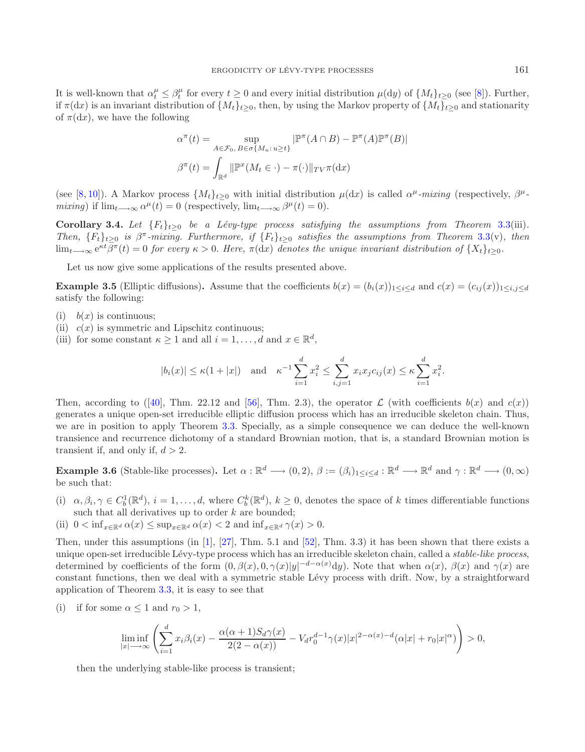It is well-known that  $\alpha_t^{\mu} \leq \beta_t^{\mu}$  for every  $t \geq 0$  and every initial distribution  $\mu(\mathrm{d}y)$  of  $\{M_t\}_{t \geq 0}$  (see [\[8](#page-22-27)]). Further, if  $\pi(dx)$  is an invariant distribution of  $\{M_t\}_{t>0}$ , then, by using the Markov property of  $\{M_t\}_{t>0}$  and stationarity of  $\pi(dx)$ , we have the following

$$
\alpha^{\pi}(t) = \sup_{A \in \mathcal{F}_0, B \in \sigma\{M_u : u \ge t\}} |\mathbb{P}^{\pi}(A \cap B) - \mathbb{P}^{\pi}(A)\mathbb{P}^{\pi}(B)|
$$

$$
\beta^{\pi}(t) = \int_{\mathbb{R}^d} ||\mathbb{P}^{\pi}(M_t \in \cdot) - \pi(\cdot)||_{TV} \pi(\mathrm{d}x)
$$

(see [\[8](#page-22-27),[10\]](#page-22-28)). A Markov process  $\{M_t\}_{t\geq 0}$  with initial distribution  $\mu(dx)$  is called  $\alpha^{\mu}$ -mixing (respectively,  $\beta^{\mu}$ *mixing*) if  $\lim_{t\to\infty} \alpha^{\mu}(t) = 0$  (respectively,  $\lim_{t\to\infty} \beta^{\mu}(t) = 0$ ).

**Corollary 3.4.** *Let*  ${F_t}_{t\ge0}$  *be a Lévy-type process satisfying the assumptions from Theorem [3.3\(](#page-5-0)iii). Then,*  ${F_t}_{t\geq0}$  *is*  $\beta^{\pi}$ -mixing. Furthermore, if  ${F_t}_{t\geq0}$  *satisfies the assumptions from Theorem* [3.3\(](#page-5-0)v), then lim<sub>t→∞</sub>  $e^{\kappa t} \beta^{\pi}(t) = 0$  *for every*  $\kappa > 0$ . Here,  $\pi(dx)$  *denotes the unique invariant distribution of*  $\{X_t\}_{t>0}$ *.* 

Let us now give some applications of the results presented above.

**Example 3.5** (Elliptic diffusions). Assume that the coefficients  $b(x)=(b_i(x))_{1\leq i\leq d}$  and  $c(x)=(c_{ij}(x))_{1\leq i,j\leq d}$ satisfy the following:

- (i)  $b(x)$  is continuous:
- (ii)  $c(x)$  is symmetric and Lipschitz continuous;
- (iii) for some constant  $\kappa \geq 1$  and all  $i = 1, \ldots, d$  and  $x \in \mathbb{R}^d$ ,

$$
|b_i(x)| \le \kappa(1+|x|)
$$
 and  $\kappa^{-1} \sum_{i=1}^d x_i^2 \le \sum_{i,j=1}^d x_i x_j c_{ij}(x) \le \kappa \sum_{i=1}^d x_i^2$ .

Then, according to ([\[40\]](#page-23-22), Thm. 22.12 and [\[56\]](#page-23-2), Thm. 2.3), the operator  $\mathcal L$  (with coefficients  $b(x)$  and  $c(x)$ ) generates a unique open-set irreducible elliptic diffusion process which has an irreducible skeleton chain. Thus, we are in position to apply Theorem [3.3.](#page-5-0) Specially, as a simple consequence we can deduce the well-known transience and recurrence dichotomy of a standard Brownian motion, that is, a standard Brownian motion is transient if, and only if,  $d > 2$ .

<span id="page-7-0"></span>**Example 3.6** (Stable-like processes). Let  $\alpha : \mathbb{R}^d \longrightarrow (0, 2), \beta := (\beta_i)_{1 \leq i \leq d} : \mathbb{R}^d \longrightarrow \mathbb{R}^d$  and  $\gamma : \mathbb{R}^d \longrightarrow (0, \infty)$ be such that:

- (i)  $\alpha, \beta_i, \gamma \in C_b^1(\mathbb{R}^d), i = 1, \ldots, d$ , where  $C_b^k(\mathbb{R}^d), k \geq 0$ , denotes the space of k times differentiable functions such that all derivatives up to order  $k$  are bounded;
- (ii)  $0 < \inf_{x \in \mathbb{R}^d} \alpha(x) \leq \sup_{x \in \mathbb{R}^d} \alpha(x) < 2$  and  $\inf_{x \in \mathbb{R}^d} \gamma(x) > 0$ .

Then, under this assumptions (in [\[1\]](#page-22-29), [\[27\]](#page-22-17), Thm. 5.1 and [\[52](#page-23-14)], Thm. 3.3) it has been shown that there exists a unique open-set irreducible Lévy-type process which has an irreducible skeleton chain, called a *stable-like process*, determined by coefficients of the form  $(0, \beta(x), 0, \gamma(x)|y|^{-d-\alpha(x)}dy)$ . Note that when  $\alpha(x)$ ,  $\beta(x)$  and  $\gamma(x)$  are constant functions, then we deal with a symmetric stable Lévy process with drift. Now, by a straightforward application of Theorem [3.3,](#page-5-0) it is easy to see that

(i) if for some  $\alpha \leq 1$  and  $r_0 > 1$ ,

$$
\liminf_{|x|\longrightarrow\infty}\left(\sum_{i=1}^dx_i\beta_i(x)-\frac{\alpha(\alpha+1)S_d\gamma(x)}{2(2-\alpha(x))}-Var_0^{d-1}\gamma(x)|x|^{2-\alpha(x)-d}(\alpha|x|+r_0|x|^\alpha)\right)>0,
$$

then the underlying stable-like process is transient;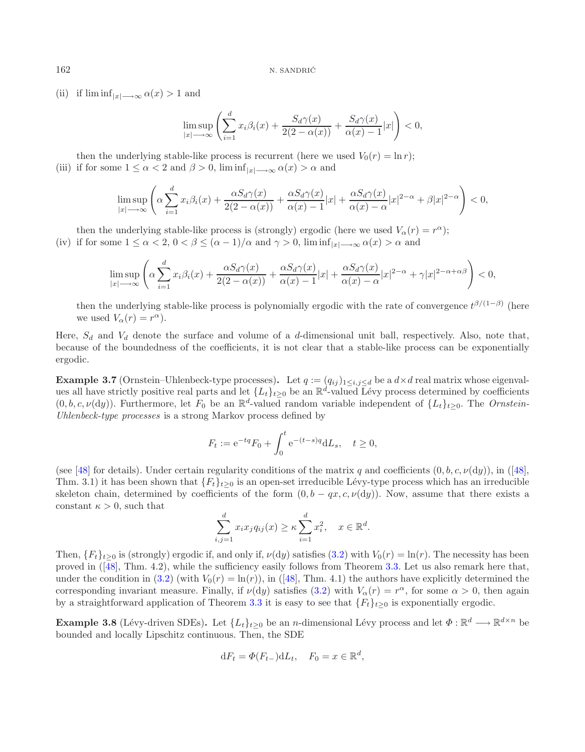(ii) if  $\liminf_{|x| \to \infty} \alpha(x) > 1$  and

$$
\limsup_{|x| \to \infty} \left( \sum_{i=1}^d x_i \beta_i(x) + \frac{S_d \gamma(x)}{2(2 - \alpha(x))} + \frac{S_d \gamma(x)}{\alpha(x) - 1} |x| \right) < 0,
$$

then the underlying stable-like process is recurrent (here we used  $V_0(r) = \ln r$ ); (iii) if for some  $1 \leq \alpha < 2$  and  $\beta > 0$ ,  $\liminf_{|x| \to \infty} \alpha(x) > \alpha$  and

$$
\limsup_{|x|\longrightarrow\infty}\left(\alpha\sum_{i=1}^dx_i\beta_i(x)+\frac{\alpha S_d\gamma(x)}{2(2-\alpha(x))}+\frac{\alpha S_d\gamma(x)}{\alpha(x)-1}|x|+\frac{\alpha S_d\gamma(x)}{\alpha(x)-\alpha}|x|^{2-\alpha}+\beta|x|^{2-\alpha}\right)<0,
$$

then the underlying stable-like process is (strongly) ergodic (here we used  $V_{\alpha}(r) = r^{\alpha}$ ); (iv) if for some  $1 \le \alpha < 2$ ,  $0 < \beta \le (\alpha - 1)/\alpha$  and  $\gamma > 0$ ,  $\liminf_{|x| \to \infty} \alpha(x) > \alpha$  and

$$
\limsup_{|x|\longrightarrow\infty}\left(\alpha\sum_{i=1}^dx_i\beta_i(x)+\frac{\alpha S_d\gamma(x)}{2(2-\alpha(x))}+\frac{\alpha S_d\gamma(x)}{\alpha(x)-1}|x|+\frac{\alpha S_d\gamma(x)}{\alpha(x)-\alpha}|x|^{2-\alpha}+\gamma|x|^{2-\alpha+\alpha\beta}\right)<0,
$$

then the underlying stable-like process is polynomially ergodic with the rate of convergence  $t^{\beta/(1-\beta)}$  (here we used  $V_{\alpha}(r) = r^{\alpha}$ .

Here,  $S_d$  and  $V_d$  denote the surface and volume of a d-dimensional unit ball, respectively. Also, note that, because of the boundedness of the coefficients, it is not clear that a stable-like process can be exponentially ergodic.

**Example 3.7** (Ornstein–Uhlenbeck-type processes). Let  $q := (q_{ij})_{1 \leq i,j \leq d}$  be a  $d \times d$  real matrix whose eigenvalues all have strictly positive real parts and let  $\{L_t\}_{t>0}$  be an  $\mathbb{R}^d$ -valued Lévy process determined by coefficients  $(0, b, c, \nu(dy))$ . Furthermore, let  $F_0$  be an  $\mathbb{R}^d$ -valued random variable independent of  $\{L_t\}_{t>0}$ . The *Ornstein*-*Uhlenbeck-type processes* is a strong Markov process defined by

$$
F_t := e^{-tq} F_0 + \int_0^t e^{-(t-s)q} dL_s, \quad t \ge 0,
$$

(see [\[48](#page-23-8)] for details). Under certain regularity conditions of the matrix q and coefficients  $(0, b, c, \nu(dy))$ , in ([48], Thm. 3.1) it has been shown that  ${F_t}_{t\geq 0}$  is an open-set irreducible Lévy-type process which has an irreducible skeleton chain, determined by coefficients of the form  $(0, b - qx, c, \nu(dy))$ . Now, assume that there exists a constant  $\kappa > 0$ , such that

$$
\sum_{i,j=1}^d x_i x_j q_{ij}(x) \ge \kappa \sum_{i=1}^d x_i^2, \quad x \in \mathbb{R}^d.
$$

Then,  ${F_t}_{t>0}$  is (strongly) ergodic if, and only if,  $\nu(dy)$  satisfies [\(3.2\)](#page-6-0) with  $V_0(r) = \ln(r)$ . The necessity has been proved in  $(48)$ , Thm. 4.2), while the sufficiency easily follows from Theorem [3.3.](#page-5-0) Let us also remark here that, under the condition in [\(3.2\)](#page-6-0) (with  $V_0(r) = \ln(r)$ ), in ([\[48](#page-23-8)], Thm. 4.1) the authors have explicitly determined the corresponding invariant measure. Finally, if  $\nu(dy)$  satisfies [\(3.2\)](#page-6-0) with  $V_\alpha(r) = r^\alpha$ , for some  $\alpha > 0$ , then again by a straightforward application of Theorem [3.3](#page-5-0) it is easy to see that  $\{F_t\}_{t\geq 0}$  is exponentially ergodic.

**Example 3.8** (Lévy-driven SDEs). Let  $\{L_t\}_{t\geq 0}$  be an *n*-dimensional Lévy process and let  $\Phi : \mathbb{R}^d \longrightarrow \mathbb{R}^{d \times n}$  be bounded and locally Lipschitz continuous. Then, the SDE

$$
dF_t = \Phi(F_{t-})dL_t, \quad F_0 = x \in \mathbb{R}^d,
$$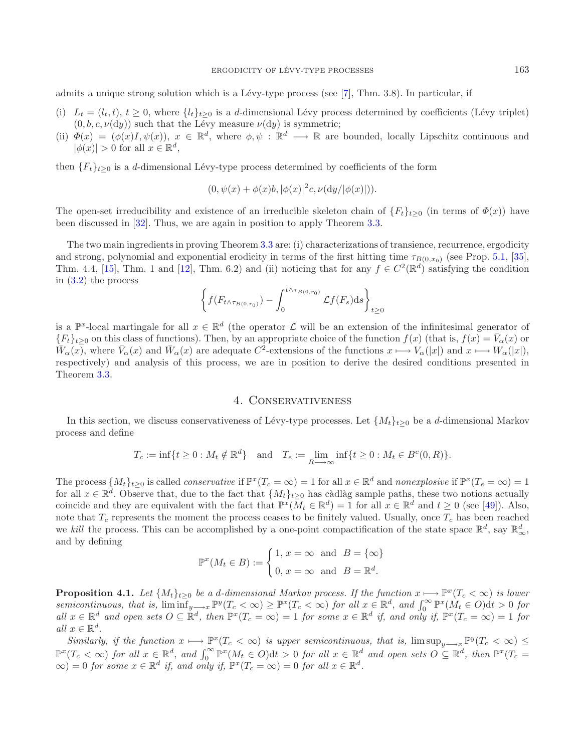admits a unique strong solution which is a Lévy-type process (see  $[7]$ , Thm. 3.8). In particular, if

- (i)  $L_t = (l_t, t), t \geq 0$ , where  $\{l_t\}_{t\geq 0}$  is a d-dimensional Lévy process determined by coefficients (Lévy triplet)  $(0, b, c, \nu(dy))$  such that the Lévy measure  $\nu(dy)$  is symmetric;
- (ii)  $\Phi(x) = (\phi(x)I, \psi(x)), x \in \mathbb{R}^d$ , where  $\phi, \psi : \mathbb{R}^d \longrightarrow \mathbb{R}$  are bounded, locally Lipschitz continuous and  $|\phi(x)| > 0$  for all  $x \in \mathbb{R}^d$ ,

then  ${F_t}_{t\geq0}$  is a d-dimensional Lévy-type process determined by coefficients of the form

$$
(0, \psi(x) + \phi(x)b, |\phi(x)|^2 c, \nu(dy/|\phi(x)|)).
$$

The open-set irreducibility and existence of an irreducible skeleton chain of  ${F_t}_{t\geq0}$  (in terms of  $\Phi(x)$ ) have been discussed in [\[32](#page-22-11)]. Thus, we are again in position to apply Theorem [3.3.](#page-5-0)

The two main ingredients in proving Theorem [3.3](#page-5-0) are: (i) characterizations of transience, recurrence, ergodicity and strong, polynomial and exponential erodicity in terms of the first hitting time  $\tau_{B(0,x_0)}$  (see Prop. [5.1,](#page-13-1) [\[35](#page-22-30)], Thm. 4.4, [\[15\]](#page-22-6), Thm. 1 and [\[12\]](#page-22-31), Thm. 6.2) and (ii) noticing that for any  $f \in C^2(\mathbb{R}^d)$  satisfying the condition in [\(3.2\)](#page-6-0) the process

$$
\left\{ f(F_{t \wedge \tau_{B(0,r_0)}}) - \int_0^{t \wedge \tau_{B(0,r_0)}} \mathcal{L}f(F_s)ds \right\}_{t \geq 0}
$$

is a  $\mathbb{P}^x$ -local martingale for all  $x \in \mathbb{R}^d$  (the operator  $\mathcal L$  will be an extension of the infinitesimal generator of  ${F_t}_{t\geq0}$  on this class of functions). Then, by an appropriate choice of the function  $f(x)$  (that is,  $f(x) = \bar{V}_{\alpha}(x)$  or  $\bar{W}_\alpha(x)$ , where  $\bar{V}_\alpha(x)$  and  $\bar{W}_\alpha(x)$  are adequate  $C^2$ -extensions of the functions  $x \mapsto V_\alpha(|x|)$  and  $x \mapsto W_\alpha(|x|)$ , respectively) and analysis of this process, we are in position to derive the desired conditions presented in Theorem [3.3.](#page-5-0)

### 4. Conservativeness

<span id="page-9-0"></span>In this section, we discuss conservativeness of Lévy-type processes. Let  $\{M_t\}_{t>0}$  be a d-dimensional Markov process and define

$$
T_c := \inf\{t \ge 0 : M_t \notin \mathbb{R}^d\} \text{ and } T_e := \lim_{R \to \infty} \inf\{t \ge 0 : M_t \in B^c(0, R)\}.
$$

The process  $\{M_t\}_{t>0}$  is called *conservative* if  $\mathbb{P}^x(T_c = \infty) = 1$  for all  $x \in \mathbb{R}^d$  and *nonexplosive* if  $\mathbb{P}^x(T_e = \infty) = 1$ for all  $x \in \mathbb{R}^d$ . Observe that, due to the fact that  $\{M_t\}_{t\geq 0}$  has càdlàg sample paths, these two notions actually coincide and they are equivalent with the fact that  $\mathbb{P}^{\tilde{x}}(\bar{M}_t \in \mathbb{R}^d) = \tilde{1}$  for all  $\tilde{x} \in \mathbb{R}^d$  and  $t \geq 0$  (see [\[49\]](#page-23-15)). Also, note that  $T_c$  represents the moment the process ceases to be finitely valued. Usually, once  $T_c$  has been reached we *kill* the process. This can be accomplished by a one-point compactification of the state space  $\mathbb{R}^d$ , say  $\mathbb{R}^d_{\infty}$ , and by defining

$$
\mathbb{P}^x(M_t \in B) := \begin{cases} 1, x = \infty & \text{and} \quad B = \{\infty\} \\ 0, x = \infty & \text{and} \quad B = \mathbb{R}^d. \end{cases}
$$

<span id="page-9-1"></span>**Proposition 4.1.** *Let*  $\{M_t\}_{t>0}$  *be a d-dimensional Markov process. If the function*  $x \mapsto \mathbb{P}^x(T_c < \infty)$  *is lower*  $semicontinuous, that is, \liminf_{y\longrightarrow x} \mathbb{P}^y(T_c < \infty) \geq \mathbb{P}^x(T_c < \infty)$  *for all*  $x \in \mathbb{R}^d$ , and  $\int_0^\infty \mathbb{P}^x(M_t \in O) dt > 0$  *for*  $all\ x \in \mathbb{R}^d\$ and open sets  $O \subseteq \mathbb{R}^d$ , then  $\mathbb{P}^x(T_c = \infty) = 1$  *for some*  $x \in \mathbb{R}^d$  *if, and only if,*  $\mathbb{P}^x(T_c = \infty) = 1$  *for all*  $x \in \mathbb{R}^d$ .

*Similarly, if the function*  $x \mapsto \mathbb{P}^x(T_c < \infty)$  *is upper semicontinuous, that is,*  $\limsup_{y\to\infty} \mathbb{P}^y(T_c < \infty) \le$  $\mathbb{P}^{x}(T_c < \infty)$  for all  $x \in \mathbb{R}^d$ , and  $\int_0^\infty \mathbb{P}^{x}(M_t \in O) dt > 0$  for all  $x \in \mathbb{R}^d$  and open sets  $O \subseteq \mathbb{R}^d$ , then  $\mathbb{P}^{x}(T_c = \infty)$  $\infty$ ) = 0 *for some*  $x \in \mathbb{R}^d$  *if, and only if,*  $\mathbb{P}^x(T_c = \infty) = 0$  *for all*  $x \in \mathbb{R}^d$ *.*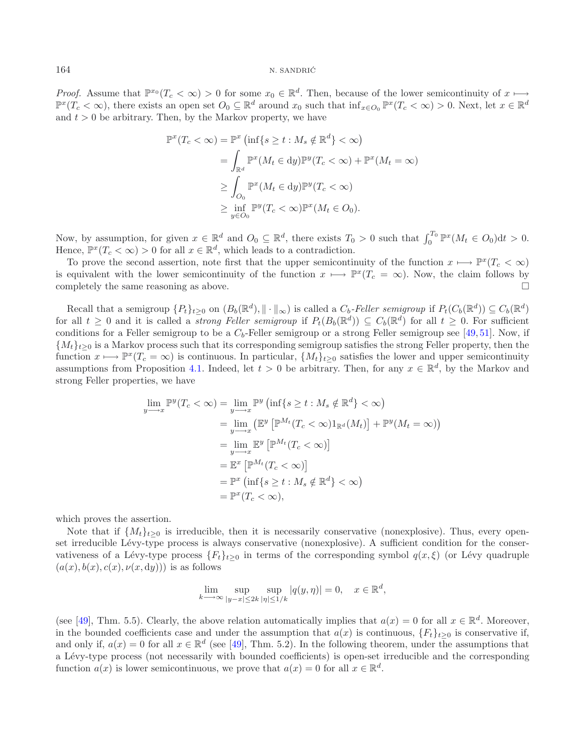*Proof.* Assume that  $\mathbb{P}^{x_0}(T_c < \infty) > 0$  for some  $x_0 \in \mathbb{R}^d$ . Then, because of the lower semicontinuity of  $x \mapsto$  $\mathbb{P}^{x}(T_c < \infty)$ , there exists an open set  $O_0 \subseteq \mathbb{R}^d$  around  $x_0$  such that  $\inf_{x \in O_0} \mathbb{P}^{x}(T_c < \infty) > 0$ . Next, let  $x \in \mathbb{R}^d$ and  $t > 0$  be arbitrary. Then, by the Markov property, we have

$$
\mathbb{P}^{x}(T_{c} < \infty) = \mathbb{P}^{x} \left( \inf \{ s \ge t : M_{s} \notin \mathbb{R}^{d} \} < \infty \right)
$$
  
\n
$$
= \int_{\mathbb{R}^{d}} \mathbb{P}^{x} (M_{t} \in dy) \mathbb{P}^{y} (T_{c} < \infty) + \mathbb{P}^{x} (M_{t} = \infty)
$$
  
\n
$$
\ge \int_{O_{0}} \mathbb{P}^{x} (M_{t} \in dy) \mathbb{P}^{y} (T_{c} < \infty)
$$
  
\n
$$
\ge \inf_{y \in O_{0}} \mathbb{P}^{y} (T_{c} < \infty) \mathbb{P}^{x} (M_{t} \in O_{0}).
$$

Now, by assumption, for given  $x \in \mathbb{R}^d$  and  $O_0 \subseteq \mathbb{R}^d$ , there exists  $T_0 > 0$  such that  $\int_0^{T_0} \mathbb{P}^x(M_t \in O_0) dt > 0$ . Hence,  $\mathbb{P}^{x}(T_c < \infty) > 0$  for all  $x \in \mathbb{R}^{d}$ , which leads to a contradiction.

To prove the second assertion, note first that the upper semicontinuity of the function  $x \mapsto \mathbb{P}^{x}(T_c < \infty)$ is equivalent with the lower semicontinuity of the function  $x \mapsto \mathbb{P}^{x}(T_c = \infty)$ . Now, the claim follows by completely the same reasoning as above.  $\Box$ 

Recall that a semigroup  $\{P_t\}_{t>0}$  on  $(B_b(\mathbb{R}^d), \|\cdot\|_{\infty})$  is called a  $C_b$ -Feller semigroup if  $P_t(C_b(\mathbb{R}^d)) \subseteq C_b(\mathbb{R}^d)$ for all  $t \geq 0$  and it is called a *strong Feller semigroup* if  $P_t(B_b(\mathbb{R}^d)) \subseteq C_b(\mathbb{R}^d)$  for all  $t \geq 0$ . For sufficient conditions for a Feller semigroup to be a  $C_b$ -Feller semigroup or a strong Feller semigroup see [\[49](#page-23-15), [51](#page-23-23)]. Now, if  ${M_t}_{t\geq 0}$  is a Markov process such that its corresponding semigroup satisfies the strong Feller property, then the function  $x \mapsto \mathbb{P}^{x}(T_c = \infty)$  is continuous. In particular,  $\{M_t\}_{t>0}$  satisfies the lower and upper semicontinuity assumptions from Proposition [4.1.](#page-9-1) Indeed, let  $t > 0$  be arbitrary. Then, for any  $x \in \mathbb{R}^d$ , by the Markov and strong Feller properties, we have

$$
\lim_{y \to x} \mathbb{P}^y(T_c < \infty) = \lim_{y \to x} \mathbb{P}^y \left( \inf\{s \ge t : M_s \notin \mathbb{R}^d\} < \infty \right)
$$
\n
$$
= \lim_{y \to x} \left( \mathbb{E}^y \left[ \mathbb{P}^{M_t}(T_c < \infty) \mathbb{1}_{\mathbb{R}^d}(M_t) \right] + \mathbb{P}^y(M_t = \infty) \right)
$$
\n
$$
= \lim_{y \to x} \mathbb{E}^y \left[ \mathbb{P}^{M_t}(T_c < \infty) \right]
$$
\n
$$
= \mathbb{E}^x \left[ \mathbb{P}^{M_t}(T_c < \infty) \right]
$$
\n
$$
= \mathbb{P}^x \left( \inf\{s \ge t : M_s \notin \mathbb{R}^d\} < \infty \right)
$$
\n
$$
= \mathbb{P}^x(T_c < \infty),
$$

which proves the assertion.

Note that if  $\{M_t\}_{t>0}$  is irreducible, then it is necessarily conservative (nonexplosive). Thus, every openset irreducible Lévy-type process is always conservative (nonexplosive). A sufficient condition for the conservativeness of a Lévy-type process  ${F_t}_{t\geq 0}$  in terms of the corresponding symbol  $q(x,\xi)$  (or Lévy quadruple  $(a(x), b(x), c(x), \nu(x, dy)))$  is as follows

$$
\lim_{k \to \infty} \sup_{|y-x| \le 2k} \sup_{|\eta| \le 1/k} |q(y, \eta)| = 0, \quad x \in \mathbb{R}^d,
$$

(see [\[49\]](#page-23-15), Thm. 5.5). Clearly, the above relation automatically implies that  $a(x) = 0$  for all  $x \in \mathbb{R}^d$ . Moreover, in the bounded coefficients case and under the assumption that  $a(x)$  is continuous,  ${F_t}_{t\geq 0}$  is conservative if, and only if,  $a(x) = 0$  for all  $x \in \mathbb{R}^d$  (see [\[49\]](#page-23-15), Thm. 5.2). In the following theorem, under the assumptions that a L´evy-type process (not necessarily with bounded coefficients) is open-set irreducible and the corresponding function  $a(x)$  is lower semicontinuous, we prove that  $a(x) = 0$  for all  $x \in \mathbb{R}^d$ .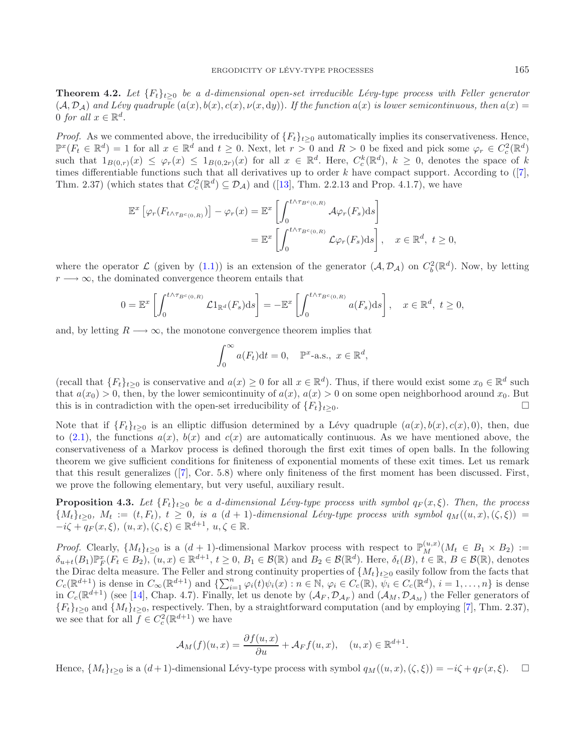**Theorem 4.2.** *Let*  ${F_t}_{t\geq0}$  *be a d-dimensional open-set irreducible Lévy-type process with Feller generator*  $(A, \mathcal{D}_A)$  and Lévy quadruple  $(a(x), b(x), c(x), \nu(x, dy))$ . If the function  $a(x)$  is lower semicontinuous, then  $a(x)$ 0 *for all*  $x \in \mathbb{R}^d$ .

*Proof.* As we commented above, the irreducibility of  ${F_t}_{t\geq0}$  automatically implies its conservativeness. Hence,  $\mathbb{P}^{x}(F_t \in \mathbb{R}^d) = 1$  for all  $x \in \mathbb{R}^d$  and  $t \geq 0$ . Next, let  $r > 0$  and  $R > 0$  be fixed and pick some  $\varphi_r \in C_c^2(\mathbb{R}^d)$ such that  $1_{B(0,r)}(x) \leq \varphi_r(x) \leq 1_{B(0,2r)}(x)$  for all  $x \in \mathbb{R}^d$ . Here,  $C_c^k(\mathbb{R}^d)$ ,  $k \geq 0$ , denotes the space of k times differentiable functions such that all derivatives up to order  $k$  have compact support. According to  $([7],$  $([7],$  $([7],$ Thm. 2.37) (which states that  $C_c^2(\mathbb{R}^d) \subseteq \mathcal{D}_{\mathcal{A}}$ ) and ([\[13](#page-22-32)], Thm. 2.2.13 and Prop. 4.1.7), we have

$$
\mathbb{E}^{x}\left[\varphi_{r}(F_{t\wedge\tau_{B^{c}(0,R)}})\right] - \varphi_{r}(x) = \mathbb{E}^{x}\left[\int_{0}^{t\wedge\tau_{B^{c}(0,R)}} \mathcal{A}\varphi_{r}(F_{s})ds\right]
$$

$$
= \mathbb{E}^{x}\left[\int_{0}^{t\wedge\tau_{B^{c}(0,R)}} \mathcal{L}\varphi_{r}(F_{s})ds\right], \quad x \in \mathbb{R}^{d}, t \ge 0,
$$

where the operator  $\mathcal L$  (given by [\(1.1\)](#page-0-0)) is an extension of the generator  $(\mathcal A, \mathcal D_{\mathcal A})$  on  $C_b^2(\mathbb R^d)$ . Now, by letting  $r \rightarrow \infty$ , the dominated convergence theorem entails that

$$
0 = \mathbb{E}^x \left[ \int_0^{t \wedge \tau_{B^c(0,R)}} \mathcal{L}1_{\mathbb{R}^d}(F_s) ds \right] = -\mathbb{E}^x \left[ \int_0^{t \wedge \tau_{B^c(0,R)}} a(F_s) ds \right], \quad x \in \mathbb{R}^d, \ t \ge 0,
$$

and, by letting  $R \longrightarrow \infty$ , the monotone convergence theorem implies that

<span id="page-11-0"></span>
$$
\int_0^\infty a(F_t)dt = 0, \quad \mathbb{P}^x\text{-a.s., } x \in \mathbb{R}^d,
$$

(recall that  ${F_t}_{t\geq0}$  is conservative and  $a(x) \geq 0$  for all  $x \in \mathbb{R}^d$ ). Thus, if there would exist some  $x_0 \in \mathbb{R}^d$  such that  $a(x_0) > 0$ , then, by the lower semicontinuity of  $a(x)$ ,  $a(x) > 0$  on some open neighborhood around  $x_0$ . But this is in contradiction with the open-set irreducibility of  ${F_t}_{t\geq 0}$ .

Note that if  ${F_t}_{t\geq 0}$  is an elliptic diffusion determined by a Lévy quadruple  $(a(x), b(x), c(x), 0)$ , then, due to [\(2.1\)](#page-2-1), the functions  $a(x)$ ,  $b(x)$  and  $c(x)$  are automatically continuous. As we have mentioned above, the conservativeness of a Markov process is defined thorough the first exit times of open balls. In the following theorem we give sufficient conditions for finiteness of exponential moments of these exit times. Let us remark that this result generalizes ([\[7\]](#page-22-16), Cor. 5.8) where only finiteness of the first moment has been discussed. First, we prove the following elementary, but very useful, auxiliary result.

**Proposition 4.3.** *Let*  ${F_t}_{t\geq0}$  *be a d-dimensional Lévy-type process with symbol*  $q_F(x, \xi)$ *. Then, the process*  ${M_t}_{t\geq0}, M_t := (t, F_t), t \geq 0,$  is a  $(d+1)$ -dimensional Lévy-type process with symbol  $q_M((u, x), (\zeta, \xi))$  $-i\zeta + q_F(x,\xi), (u,x), (\zeta,\xi) \in \mathbb{R}^{d+1}, u,\zeta \in \mathbb{R}$ .

*Proof.* Clearly,  $\{M_t\}_{t\geq 0}$  is a  $(d+1)$ -dimensional Markov process with respect to  $\mathbb{P}_M^{(u,x)}(M_t \in B_1 \times B_2) :=$  $\delta_{u+t}(B_1)\mathbb{P}_F^x(F_t \in B_2)$ ,  $(u, x) \in \mathbb{R}^{d+1}$ ,  $t \geq 0$ ,  $B_1 \in \mathcal{B}(\mathbb{R})$  and  $B_2 \in \mathcal{B}(\mathbb{R}^d)$ . Here,  $\delta_t(B)$ ,  $t \in \mathbb{R}$ ,  $B \in \mathcal{B}(\mathbb{R})$ , denotes the Dirac delta measure. The Feller and strong continuity properties of  $\{M_t\}_{t\geq0}$  easily follow from the facts that  $C_c(\mathbb{R}^{d+1})$  is dense in  $C_\infty(\mathbb{R}^{d+1})$  and  $\{\sum_{i=1}^n \varphi_i(t)\psi_i(x) : n \in \mathbb{N}, \varphi_i \in C_c(\mathbb{R}), \psi_i \in C_c(\mathbb{R}^d), i = 1,\ldots,n\}$  is dense in  $C_c(\mathbb{R}^{d+1})$  (see [\[14](#page-22-33)], Chap. 4.7). Finally, let us denote by  $(\mathcal{A}_F, \mathcal{D}_{\mathcal{A}_F})$  and  $(\mathcal{A}_M, \mathcal{D}_{\mathcal{A}_M})$  the Feller generators of  ${F_t}_{t\geq0}$  and  ${M_t}_{t\geq0}$ , respectively. Then, by a straightforward computation (and by employing [\[7](#page-22-16)], Thm. 2.37), we see that for all  $\overline{f} \in C_c^2(\mathbb{R}^{d+1})$  we have

$$
\mathcal{A}_M(f)(u,x) = \frac{\partial f(u,x)}{\partial u} + \mathcal{A}_F f(u,x), \quad (u,x) \in \mathbb{R}^{d+1}.
$$

Hence,  $\{M_t\}_{t>0}$  is a  $(d+1)$ -dimensional Lévy-type process with symbol  $q_M((u, x), (\zeta, \xi)) = -i\zeta + q_F(x, \xi)$ .  $\Box$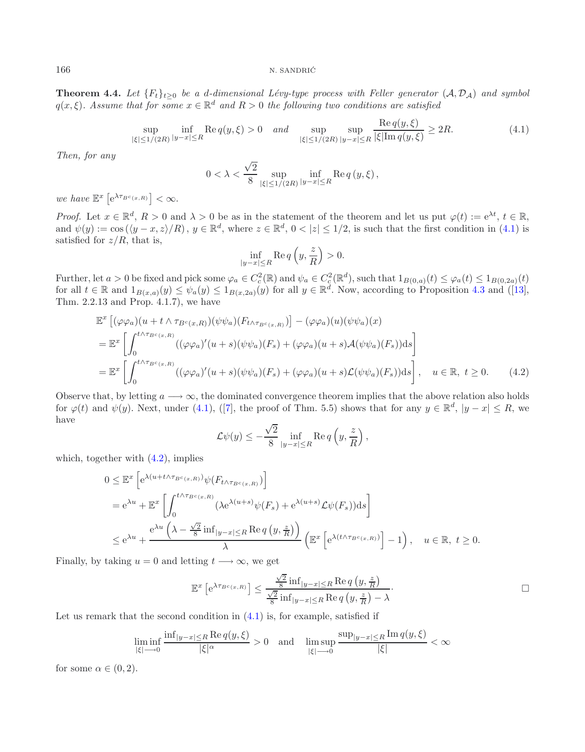#### 166 N. SANDRIĆ

<span id="page-12-2"></span>**Theorem 4.4.** *Let*  ${F_t}_{t\geq0}$  *be a d-dimensional Lévy-type process with Feller generator*  $(A, D_A)$  *and symbol*  $q(x, \xi)$ *. Assume that for some*  $x \in \mathbb{R}^d$  *and*  $R > 0$  *the following two conditions are satisfied* 

$$
\sup_{|\xi| \le 1/(2R)} \inf_{|y-x| \le R} \text{Re}\, q(y,\xi) > 0 \quad and \quad \sup_{|\xi| \le 1/(2R)} \sup_{|y-x| \le R} \frac{\text{Re}\, q(y,\xi)}{|\xi| \text{Im}\, q(y,\xi)} \ge 2R. \tag{4.1}
$$

*Then, for any*

<span id="page-12-0"></span>
$$
0 < \lambda < \frac{\sqrt{2}}{8} \sup_{|\xi| \le 1/(2R)} \inf_{|y-x| \le R} \operatorname{Re} q(y,\xi),
$$

*we have*  $\mathbb{E}^x \left[ e^{\lambda \tau_{B^c(x,R)}} \right] < \infty$ .

*Proof.* Let  $x \in \mathbb{R}^d$ ,  $R > 0$  and  $\lambda > 0$  be as in the statement of the theorem and let us put  $\varphi(t) := e^{\lambda t}$ ,  $t \in \mathbb{R}$ , and  $\psi(y) := \cos((y-x, z)/R)$ ,  $y \in \mathbb{R}^d$ , where  $z \in \mathbb{R}^d$ ,  $0 < |z| \le 1/2$ , is such that the first condition in [\(4.1\)](#page-12-0) is satisfied for  $z/R$ , that is,

<span id="page-12-1"></span>
$$
\inf_{|y-x|\leq R} \operatorname{Re} q\left(y, \frac{z}{R}\right) > 0.
$$

Further, let  $a > 0$  be fixed and pick some  $\varphi_a \in C_c^2(\mathbb{R})$  and  $\psi_a \in C_c^2(\mathbb{R}^d)$ , such that  $1_{B(0,a)}(t) \leq \varphi_a(t) \leq 1_{B(0,2a)}(t)$ for all  $t \in \mathbb{R}$  and  $1_{B(x,a)}(y) \leq \psi_a(y) \leq 1_{B(x,2a)}(y)$  for all  $y \in \mathbb{R}^d$ . Now, according to Proposition [4.3](#page-11-0) and ([\[13](#page-22-32)], Thm. 2.2.13 and Prop. 4.1.7), we have

$$
\mathbb{E}^{x}\left[ (\varphi\varphi_{a})(u+t\wedge\tau_{B^{c}(x,R)})(\psi\psi_{a})(F_{t\wedge\tau_{B^{c}(x,R)}})\right] - (\varphi\varphi_{a})(u)(\psi\psi_{a})(x)
$$
\n
$$
= \mathbb{E}^{x}\left[ \int_{0}^{t\wedge\tau_{B^{c}(x,R)}} ((\varphi\varphi_{a})'(u+s)(\psi\psi_{a})(F_{s}) + (\varphi\varphi_{a})(u+s)\mathcal{A}(\psi\psi_{a})(F_{s}))ds \right]
$$
\n
$$
= \mathbb{E}^{x}\left[ \int_{0}^{t\wedge\tau_{B^{c}(x,R)}} ((\varphi\varphi_{a})'(u+s)(\psi\psi_{a})(F_{s}) + (\varphi\varphi_{a})(u+s)\mathcal{L}(\psi\psi_{a})(F_{s}))ds \right], \quad u \in \mathbb{R}, \ t \ge 0. \tag{4.2}
$$

Observe that, by letting  $a \longrightarrow \infty$ , the dominated convergence theorem implies that the above relation also holds for  $\varphi(t)$  and  $\psi(y)$ . Next, under [\(4.1\)](#page-12-0), ([\[7\]](#page-22-16), the proof of Thm. 5.5) shows that for any  $y \in \mathbb{R}^d$ ,  $|y - x| \leq R$ , we have

$$
\mathcal{L}\psi(y) \leq -\frac{\sqrt{2}}{8} \inf_{|y-x| \leq R} \text{Re } q\left(y, \frac{z}{R}\right),
$$

which, together with  $(4.2)$ , implies

$$
0 \leq \mathbb{E}^{x} \left[ e^{\lambda (u+t\wedge \tau_{B^{c}(x,R)})} \psi(F_{t\wedge \tau_{B^{c}(x,R)}}) \right]
$$
  
\n
$$
= e^{\lambda u} + \mathbb{E}^{x} \left[ \int_{0}^{t\wedge \tau_{B^{c}(x,R)}} (\lambda e^{\lambda (u+s)} \psi(F_s) + e^{\lambda (u+s)} \mathcal{L}\psi(F_s)) ds \right]
$$
  
\n
$$
\leq e^{\lambda u} + \frac{e^{\lambda u} \left( \lambda - \frac{\sqrt{2}}{8} \inf_{|y-x| \leq R} \text{Re } q \left( y, \frac{z}{R} \right) \right)}{\lambda} \left( \mathbb{E}^{x} \left[ e^{\lambda (t\wedge \tau_{B^{c}(x,R)})} - 1 \right), \quad u \in \mathbb{R}, \ t \geq 0.
$$

Finally, by taking  $u = 0$  and letting  $t \rightarrow \infty$ , we get

$$
\mathbb{E}^{x}\left[e^{\lambda \tau_{B^{c}(x,R)}}\right] \leq \frac{\frac{\sqrt{2}}{8} \inf_{|y-x| \leq R} \operatorname{Re} q\left(y, \frac{z}{R}\right)}{\frac{\sqrt{2}}{8} \inf_{|y-x| \leq R} \operatorname{Re} q\left(y, \frac{z}{R}\right) - \lambda}.
$$

Let us remark that the second condition in  $(4.1)$  is, for example, satisfied if

$$
\liminf_{|\xi|\longrightarrow 0}\frac{\inf_{|y-x|\leq R}\operatorname{Re}q(y,\xi)}{|\xi|^{\alpha}}>0\quad\text{and}\quad\limsup_{|\xi|\longrightarrow 0}\frac{\sup_{|y-x|\leq R}\operatorname{Im}q(y,\xi)}{|\xi|}<\infty
$$

for some  $\alpha \in (0, 2)$ .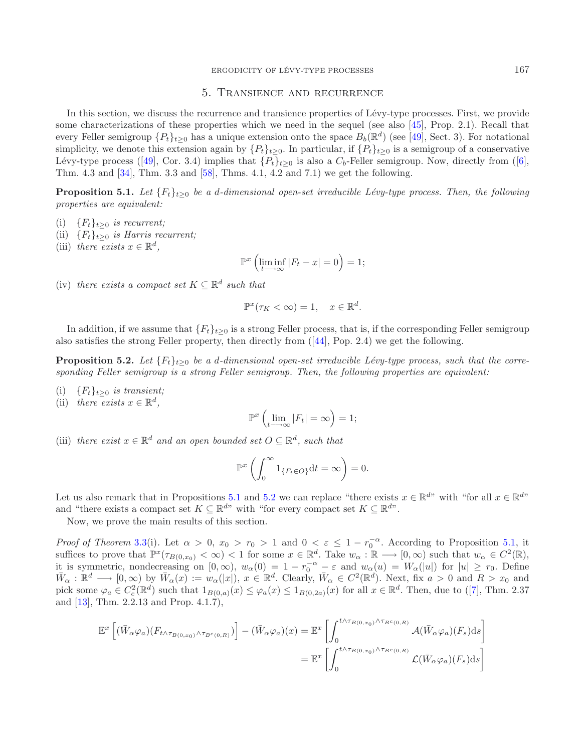## <span id="page-13-1"></span>5. Transience and recurrence

<span id="page-13-0"></span>In this section, we discuss the recurrence and transience properties of Lévy-type processes. First, we provide some characterizations of these properties which we need in the sequel (see also [\[45\]](#page-23-13), Prop. 2.1). Recall that every Feller semigroup  $\{P_t\}_{t\geq 0}$  has a unique extension onto the space  $B_b(\mathbb{R}^d)$  (see [\[49\]](#page-23-15), Sect. 3). For notational simplicity, we denote this extension again by  ${P_t}_{t\geq 0}$ . In particular, if  ${P_t}_{t\geq 0}$  is a semigroup of a conservative Lévy-type process ([\[49\]](#page-23-15), Cor. 3.4) implies that  $\{P_t\}_{t>0}$  is also a  $C_b$ -Feller semigroup. Now, directly from ([\[6](#page-22-8)], Thm. 4.3 and [\[34](#page-22-34)], Thm. 3.3 and [\[58](#page-23-17)], Thms. 4.1, 4.2 and 7.1) we get the following.

**Proposition 5.1.** *Let*  ${F_t}_{t>0}$  *be a d-dimensional open-set irreducible Lévy-type process. Then, the following properties are equivalent:*

- (i)  ${F_t}_{t>0}$  *is recurrent;*
- (ii)  ${F_t}_{t\geq0}$  *is Harris recurrent*;
- (iii) *there* exists  $x \in \mathbb{R}^d$ ,

<span id="page-13-2"></span>
$$
\mathbb{P}^x \left( \liminf_{t \to \infty} |F_t - x| = 0 \right) = 1;
$$

(iv) *there exists a compact set*  $K \subseteq \mathbb{R}^d$  *such that* 

$$
\mathbb{P}^x(\tau_K < \infty) = 1, \quad x \in \mathbb{R}^d.
$$

In addition, if we assume that  ${F_t}_{t\geq 0}$  is a strong Feller process, that is, if the corresponding Feller semigroup also satisfies the strong Feller property, then directly from ([\[44](#page-23-12)], Pop. 2.4) we get the following.

**Proposition 5.2.** *Let*  ${F_t}_{t>0}$  *be a d-dimensional open-set irreducible Lévy-type process, such that the corresponding Feller semigroup is a strong Feller semigroup. Then, the following properties are equivalent:*

- (i)  ${F_t}_{t>0}$  *is transient;*
- (ii) *there exists*  $x \in \mathbb{R}^d$ ,

$$
\mathbb{P}^x\left(\lim_{t\longrightarrow\infty}|F_t|=\infty\right)=1;
$$

(iii) *there exist*  $x \in \mathbb{R}^d$  *and an open bounded set*  $O \subset \mathbb{R}^d$ *, such that* 

$$
\mathbb{P}^x \left( \int_0^\infty 1_{\{F_t \in O\}} \mathrm{d}t = \infty \right) = 0.
$$

Let us also remark that in Propositions [5.1](#page-13-1) and [5.2](#page-13-2) we can replace "there exists  $x \in \mathbb{R}^{d}$ " with "for all  $x \in \mathbb{R}^{d}$ " and "there exists a compact set  $K \subseteq \mathbb{R}^{d_v}$  with "for every compact set  $K \subseteq \mathbb{R}^{d_v}$ .

Now, we prove the main results of this section.

*Proof of Theorem* [3.3\(](#page-5-0)i). Let  $\alpha > 0$ ,  $x_0 > r_0 > 1$  and  $0 < \varepsilon \leq 1 - r_0^{-\alpha}$ . According to Proposition [5.1,](#page-13-1) it suffices to prove that  $\mathbb{P}^x(\tau_{B(0,x_0)} < \infty) < 1$  for some  $x \in \mathbb{R}^d$ . Take  $w_\alpha : \mathbb{R} \longrightarrow [0,\infty)$  such that  $w_\alpha \in C^2(\mathbb{R})$ , it is symmetric, nondecreasing on  $[0, \infty)$ ,  $w_\alpha(0) = 1 - r_0^{-\alpha} - \varepsilon$  and  $w_\alpha(u) = W_\alpha(|u|)$  for  $|u| \ge r_0$ . Define  $\overline{W}_{\alpha} : \mathbb{R}^d \longrightarrow [0, \infty)$  by  $\overline{W}_{\alpha}(x) := w_{\alpha}(|x|), x \in \mathbb{R}^d$ . Clearly,  $\overline{W}_{\alpha} \in C^2(\mathbb{R}^d)$ . Next, fix  $a > 0$  and  $R > x_0$  and pick some  $\varphi_a \in C_c^2(\mathbb{R}^d)$  such that  $1_{B(0,a)}(x) \leq \varphi_a(x) \leq 1_{B(0,2a)}(x)$  for all  $x \in \mathbb{R}^d$ . Then, due to ([\[7\]](#page-22-16), Thm. 2.37 and [\[13\]](#page-22-32), Thm. 2.2.13 and Prop. 4.1.7),

$$
\mathbb{E}^{x}\left[ (\bar{W}_{\alpha}\varphi_{a})(F_{t\wedge\tau_{B(0,x_{0})}\wedge\tau_{B^{c}(0,R)}}) \right] - (\bar{W}_{\alpha}\varphi_{a})(x) = \mathbb{E}^{x}\left[ \int_{0}^{t\wedge\tau_{B(0,x_{0})}\wedge\tau_{B^{c}(0,R)}} \mathcal{A}(\bar{W}_{\alpha}\varphi_{a})(F_{s})ds \right]
$$

$$
= \mathbb{E}^{x}\left[ \int_{0}^{t\wedge\tau_{B(0,x_{0})}\wedge\tau_{B^{c}(0,R)}} \mathcal{L}(\bar{W}_{\alpha}\varphi_{a})(F_{s})ds \right]
$$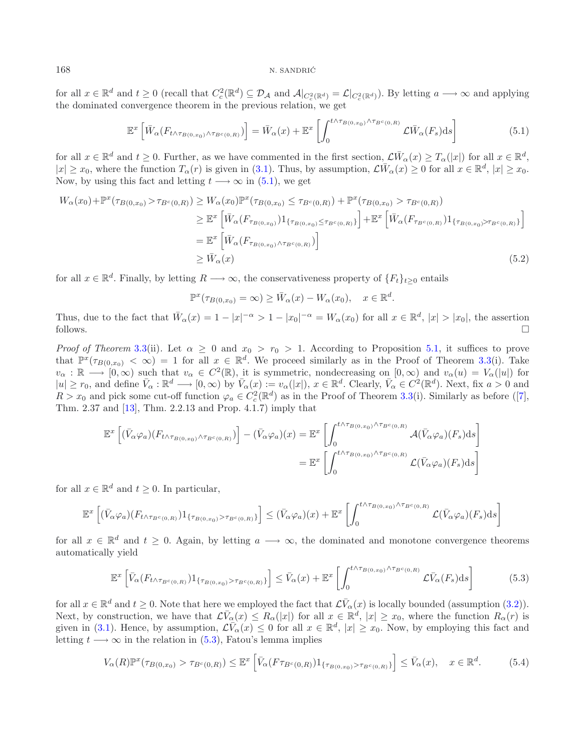for all  $x \in \mathbb{R}^d$  and  $t \ge 0$  (recall that  $C_c^2(\mathbb{R}^d) \subseteq \mathcal{D}_\mathcal{A}$  and  $\mathcal{A}|_{C_c^2(\mathbb{R}^d)} = \mathcal{L}|_{C_c^2(\mathbb{R}^d)}$ ). By letting  $a \longrightarrow \infty$  and applying the dominated convergence theorem in the previous relation, we get

<span id="page-14-3"></span><span id="page-14-0"></span>
$$
\mathbb{E}^{x}\left[\bar{W}_{\alpha}(F_{t \wedge \tau_{B(0,x_{0})}\wedge\tau_{B^{c}(0,R)}})\right] = \bar{W}_{\alpha}(x) + \mathbb{E}^{x}\left[\int_{0}^{t \wedge \tau_{B(0,x_{0})}\wedge\tau_{B^{c}(0,R)}} \mathcal{L}\bar{W}_{\alpha}(F_{s})ds\right]
$$
(5.1)

for all  $x \in \mathbb{R}^d$  and  $t \geq 0$ . Further, as we have commented in the first section,  $\mathcal{L}(\bar{W}_o(x) \geq T_o(|x|))$  for all  $x \in \mathbb{R}^d$ ,  $|x| \geq x_0$ , where the function  $T_\alpha(r)$  is given in [\(3.1\)](#page-5-1). Thus, by assumption,  $\mathcal{L}(\overline{W}_\alpha(x) \geq 0$  for all  $x \in \mathbb{R}^d$ ,  $|x| \geq x_0$ . Now, by using this fact and letting  $t \rightarrow \infty$  in [\(5.1\)](#page-14-0), we get

$$
W_{\alpha}(x_{0}) + \mathbb{P}^{x}(\tau_{B(0,x_{0})} > \tau_{B^{c}(0,R)}) \geq W_{\alpha}(x_{0})\mathbb{P}^{x}(\tau_{B(0,x_{0})} \leq \tau_{B^{c}(0,R)}) + \mathbb{P}^{x}(\tau_{B(0,x_{0})} > \tau_{B^{c}(0,R)})
$$
  
\n
$$
\geq \mathbb{E}^{x} \left[ \bar{W}_{\alpha}(F_{\tau_{B(0,x_{0})}}) 1_{\{\tau_{B(0,x_{0})} \leq \tau_{B^{c}(0,R)}\}} \right] + \mathbb{E}^{x} \left[ \bar{W}_{\alpha}(F_{\tau_{B^{c}(0,R)}}) 1_{\{\tau_{B(0,x_{0})} > \tau_{B^{c}(0,R)}\}} \right]
$$
  
\n
$$
= \mathbb{E}^{x} \left[ \bar{W}_{\alpha}(F_{\tau_{B(0,x_{0})} \wedge \tau_{B^{c}(0,R)}}) \right]
$$
  
\n
$$
\geq \bar{W}_{\alpha}(x)
$$
 (5.2)

for all  $x \in \mathbb{R}^d$ . Finally, by letting  $R \longrightarrow \infty$ , the conservativeness property of  $\{F_t\}_{t\geq 0}$  entails

<span id="page-14-2"></span><span id="page-14-1"></span>
$$
\mathbb{P}^x(\tau_{B(0,x_0)} = \infty) \ge \bar{W}_\alpha(x) - W_\alpha(x_0), \quad x \in \mathbb{R}^d.
$$

Thus, due to the fact that  $\bar{W}_\alpha(x) = 1 - |x|^{-\alpha} > 1 - |x_0|^{-\alpha} = W_\alpha(x_0)$  for all  $x \in \mathbb{R}^d$ ,  $|x| > |x_0|$ , the assertion follows.  $\Box$ 

*Proof of Theorem* [3.3\(](#page-5-0)ii). Let  $\alpha \geq 0$  and  $x_0 > r_0 > 1$ . According to Proposition [5.1,](#page-13-1) it suffices to prove that  $\mathbb{P}^{x}(\tau_{B(0,x_0)} < \infty) = 1$  for all  $x \in \mathbb{R}^d$ . We proceed similarly as in the Proof of Theorem [3.3\(](#page-5-0)i). Take  $v_\alpha : \mathbb{R} \longrightarrow [0,\infty)$  such that  $v_\alpha \in C^2(\mathbb{R})$ , it is symmetric, nondecreasing on  $[0,\infty)$  and  $v_\alpha(u) = V_\alpha(|u|)$  for  $|u| \geq r_0$ , and define  $\bar{V}_{\alpha}: \mathbb{R}^d \longrightarrow [0, \infty)$  by  $\bar{V}_{\alpha}(x) := v_{\alpha}(|x|), x \in \mathbb{R}^d$ . Clearly,  $\bar{V}_{\alpha} \in C^2(\mathbb{R}^d)$ . Next, fix  $a > 0$  and  $R > x_0$  and pick some cut-off function  $\varphi_a \in C_c^2(\mathbb{R}^d)$  as in the Proof of Theorem [3.3\(](#page-5-0)i). Similarly as before ([\[7](#page-22-16)], Thm. 2.37 and [\[13\]](#page-22-32), Thm. 2.2.13 and Prop. 4.1.7) imply that

$$
\mathbb{E}^{x}\left[ (\bar{V}_{\alpha}\varphi_{a})(F_{t\wedge\tau_{B(0,x_{0})}\wedge\tau_{B^{c}(0,R)}}) \right] - (\bar{V}_{\alpha}\varphi_{a})(x) = \mathbb{E}^{x}\left[ \int_{0}^{t\wedge\tau_{B(0,x_{0})}\wedge\tau_{B^{c}(0,R)}} \mathcal{A}(\bar{V}_{\alpha}\varphi_{a})(F_{s})ds \right]
$$

$$
= \mathbb{E}^{x}\left[ \int_{0}^{t\wedge\tau_{B(0,x_{0})}\wedge\tau_{B^{c}(0,R)}} \mathcal{L}(\bar{V}_{\alpha}\varphi_{a})(F_{s})ds \right]
$$

for all  $x \in \mathbb{R}^d$  and  $t \geq 0$ . In particular,

$$
\mathbb{E}^{x}\left[ (\bar{V}_{\alpha}\varphi_{a})(F_{t\wedge\tau_{B^{c}(0,R)}})1_{\{\tau_{B(0,x_{0})}>\tau_{B^{c}(0,R)}\}}\right] \leq (\bar{V}_{\alpha}\varphi_{a})(x)+\mathbb{E}^{x}\left[ \int_{0}^{t\wedge\tau_{B(0,x_{0})}\wedge\tau_{B^{c}(0,R)}}\mathcal{L}(\bar{V}_{\alpha}\varphi_{a})(F_{s})ds\right]
$$

for all  $x \in \mathbb{R}^d$  and  $t \geq 0$ . Again, by letting  $a \longrightarrow \infty$ , the dominated and monotone convergence theorems automatically yield

$$
\mathbb{E}^x \left[ \bar{V}_\alpha(F_{t \wedge \tau_{B^c(0,R)}}) 1_{\{\tau_{B(0,x_0)} > \tau_{B^c(0,R)}\}} \right] \le \bar{V}_\alpha(x) + \mathbb{E}^x \left[ \int_0^{t \wedge \tau_{B(0,x_0)} \wedge \tau_{B^c(0,R)}} \mathcal{L} \bar{V}_\alpha(F_s) ds \right]
$$
(5.3)

for all  $x \in \mathbb{R}^d$  and  $t \geq 0$ . Note that here we employed the fact that  $\mathcal{L}(\overline{V}_{\alpha}(x))$  is locally bounded (assumption [\(3.2\)](#page-6-0)). Next, by construction, we have that  $\mathcal{L}V_\alpha(x) \leq R_\alpha(|x|)$  for all  $x \in \mathbb{R}^d$ ,  $|x| \geq x_0$ , where the function  $R_\alpha(r)$  is given in [\(3.1\)](#page-5-1). Hence, by assumption,  $\mathcal{L}V_{\alpha}(x) \leq 0$  for all  $x \in \mathbb{R}^d$ ,  $|x| \geq x_0$ . Now, by employing this fact and letting  $t \longrightarrow \infty$  in the relation in [\(5.3\)](#page-14-1), Fatou's lemma implies

$$
V_{\alpha}(R)\mathbb{P}^{x}(\tau_{B(0,x_{0})} > \tau_{B^{c}(0,R)}) \leq \mathbb{E}^{x}\left[\bar{V}_{\alpha}(F\tau_{B^{c}(0,R)})1_{\{\tau_{B(0,x_{0})} > \tau_{B^{c}(0,R)}\}}\right] \leq \bar{V}_{\alpha}(x), \quad x \in \mathbb{R}^{d}.
$$
 (5.4)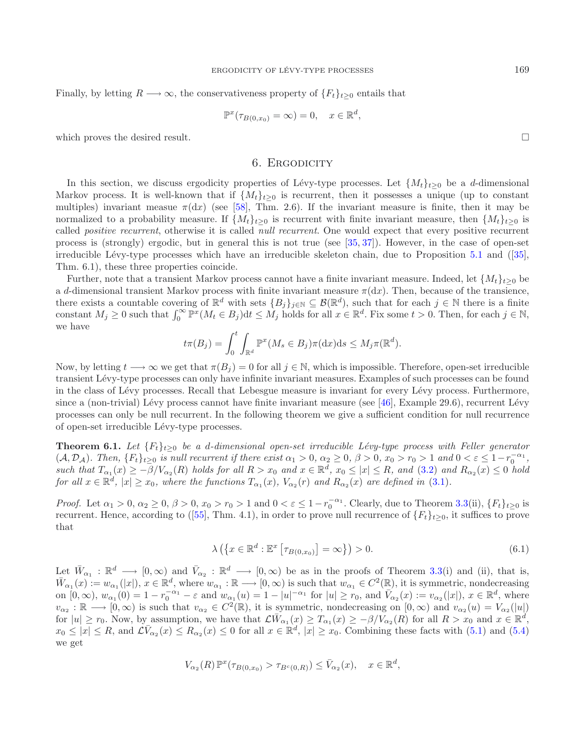Finally, by letting  $R \longrightarrow \infty$ , the conservativeness property of  $\{F_t\}_{t>0}$  entails that

$$
\mathbb{P}^x(\tau_{B(0,x_0)} = \infty) = 0, \quad x \in \mathbb{R}^d,
$$

<span id="page-15-0"></span>which proves the desired result.

## 6. ERGODICITY

In this section, we discuss ergodicity properties of Lévy-type processes. Let  $\{M_t\}_{t>0}$  be a d-dimensional Markov process. It is well-known that if  $\{M_t\}_{t\geq 0}$  is recurrent, then it possesses a unique (up to constant multiples) invariant measue  $\pi(dx)$  (see [\[58\]](#page-23-17), Thm. 2.6). If the invariant measure is finite, then it may be normalized to a probability measure. If  $\{M_t\}_{t>0}$  is recurrent with finite invariant measure, then  $\{M_t\}_{t>0}$  is called *positive recurrent*, otherwise it is called *null recurrent*. One would expect that every positive recurrent process is (strongly) ergodic, but in general this is not true (see [\[35,](#page-22-30) [37\]](#page-23-19)). However, in the case of open-set irreducible Lévy-type processes which have an irreducible skeleton chain, due to Proposition [5.1](#page-13-1) and  $(35)$ , Thm. 6.1), these three properties coincide.

Further, note that a transient Markov process cannot have a finite invariant measure. Indeed, let  $\{M_t\}_{t\geq 0}$  be a d-dimensional transient Markov process with finite invariant measure  $\pi(dx)$ . Then, because of the transience, there exists a countable covering of  $\mathbb{R}^d$  with sets  $\{B_i\}_{i\in\mathbb{N}}\subseteq\mathcal{B}(\mathbb{R}^d)$ , such that for each  $j\in\mathbb{N}$  there is a finite constant  $M_j \geq 0$  such that  $\int_0^\infty \mathbb{P}^x (M_t \in B_j) dt \leq M_j$  holds for all  $x \in \mathbb{R}^d$ . Fix some  $t > 0$ . Then, for each  $j \in \mathbb{N}$ , we have

$$
t\pi(B_j) = \int_0^t \int_{\mathbb{R}^d} \mathbb{P}^x(M_s \in B_j)\pi(\mathrm{d}x)\mathrm{d}s \le M_j\pi(\mathbb{R}^d).
$$

Now, by letting  $t \to \infty$  we get that  $\pi(B_i) = 0$  for all  $j \in \mathbb{N}$ , which is impossible. Therefore, open-set irreducible transient L´evy-type processes can only have infinite invariant measures. Examples of such processes can be found in the class of Lévy processes. Recall that Lebesgue measure is invariant for every Lévy process. Furthermore, since a (non-trivial) Lévy process cannot have finite invariant measure (see  $[46]$ , Example 29.6), recurrent Lévy processes can only be null recurrent. In the following theorem we give a sufficient condition for null recurrence of open-set irreducible Lévy-type processes.

**Theorem 6.1.** *Let*  ${F_t}_{t>0}$  *be a d-dimensional open-set irreducible Lévy-type process with Feller generator*  $(A, \mathcal{D}_\mathcal{A})$ . Then,  $\{F_t\}_{t\geq 0}$  is null recurrent if there exist  $\alpha_1 > 0$ ,  $\alpha_2 \geq 0$ ,  $\beta > 0$ ,  $x_0 > r_0 > 1$  and  $0 < \varepsilon \leq 1-r_0^{-\alpha_1}$ ,  $such that T_{\alpha_1}(x) \geq -\overline{\beta}/V_{\alpha_2}(R)$  *holds for all*  $R > x_0$  *and*  $x \in \mathbb{R}^d$ ,  $x_0 \leq |x| \leq R$ , *and*  $(3.2)$  *and*  $R_{\alpha_2}(x) \leq 0$  *hold for all*  $x \in \mathbb{R}^d$ ,  $|x| \ge x_0$ *, where the functions*  $T_{\alpha_1}(x)$ *,*  $V_{\alpha_2}(r)$  *and*  $R_{\alpha_2}(x)$  *are defined in* [\(3.1\)](#page-5-1)*.* 

*Proof.* Let  $\alpha_1 > 0$ ,  $\alpha_2 \ge 0$ ,  $\beta > 0$ ,  $x_0 > r_0 > 1$  and  $0 < \varepsilon \le 1 - r_0^{-\alpha_1}$ . Clearly, due to Theorem [3.3\(](#page-5-0)ii),  $\{F_t\}_{t \ge 0}$  is recurrent. Hence, according to ([\[55\]](#page-23-24), Thm. 4.1), in order to prove null recurrence of  $\{F_t\}_{t\geq0}$ , it suffices to prove that

$$
\lambda\left(\left\{x \in \mathbb{R}^d : \mathbb{E}^x \left[\tau_{B(0,x_0)}\right] = \infty\right\}\right) > 0. \tag{6.1}
$$

Let  $\bar{W}_{\alpha_1} : \mathbb{R}^d \longrightarrow [0, \infty)$  and  $\bar{V}_{\alpha_2} : \mathbb{R}^d \longrightarrow [0, \infty)$  be as in the proofs of Theorem [3.3\(](#page-5-0)i) and (ii), that is,  $\bar{W}_{\alpha_1}(x) := w_{\alpha_1}(|x|), x \in \mathbb{R}^d$ , where  $w_{\alpha_1} : \mathbb{R} \longrightarrow [0, \infty)$  is such that  $w_{\alpha_1} \in C^2(\mathbb{R})$ , it is symmetric, nondecreasing on  $[0, \infty)$ ,  $w_{\alpha_1}(0) = 1 - r_0^{-\alpha_1} - \varepsilon$  and  $w_{\alpha_1}(u) = 1 - |u|^{-\alpha_1}$  for  $|u| \ge r_0$ , and  $\overline{V}_{\alpha_2}(x) := v_{\alpha_2}(|x|)$ ,  $x \in \mathbb{R}^d$ , where  $v_{\alpha_2} : \mathbb{R} \longrightarrow [0, \infty)$  is such that  $v_{\alpha_2} \in C^2(\mathbb{R})$ , it is symmetric, nondecreasing on  $[0, \infty)$  and  $v_{\alpha_2}(u) = V_{\alpha_2}(|u|)$ for  $|u| \ge r_0$ . Now, by assumption, we have that  $\mathcal{L}W_{\alpha_1}(x) \ge T_{\alpha_1}(x) \ge -\beta/V_{\alpha_2}(R)$  for all  $R > x_0$  and  $x \in \mathbb{R}^d$ ,  $x_0 \leq |x| \leq R$ , and  $\mathcal{L} \overline{V}_{\alpha_2}(x) \leq R_{\alpha_2}(x) \leq 0$  for all  $x \in \mathbb{R}^d$ ,  $|x| \geq x_0$ . Combining these facts with [\(5.1\)](#page-14-0) and [\(5.4\)](#page-14-2) we get

$$
V_{\alpha_2}(R)\mathbb{P}^x(\tau_{B(0,x_0)} > \tau_{B^c(0,R)}) \leq \bar{V}_{\alpha_2}(x), \quad x \in \mathbb{R}^d,
$$

 $\Box$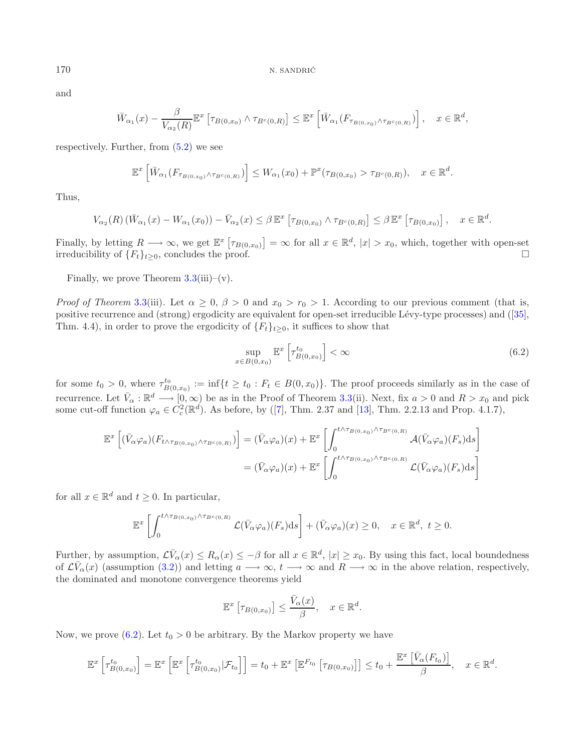and

$$
\bar{W}_{\alpha_1}(x) - \frac{\beta}{V_{\alpha_2}(R)} \mathbb{E}^x \left[ \tau_{B(0,x_0)} \wedge \tau_{B^c(0,R)} \right] \leq \mathbb{E}^x \left[ \bar{W}_{\alpha_1}(F_{\tau_{B(0,x_0)} \wedge \tau_{B^c(0,R)}}) \right], \quad x \in \mathbb{R}^d,
$$

respectively. Further, from  $(5.2)$  we see

$$
\mathbb{E}^{x}\left[\bar{W}_{\alpha_{1}}(F_{\tau_{B(0,x_{0})}\wedge\tau_{B^{c}(0,R)}})\right] \leq W_{\alpha_{1}}(x_{0})+\mathbb{P}^{x}(\tau_{B(0,x_{0})}>\tau_{B^{c}(0,R)}), \quad x\in\mathbb{R}^{d}.
$$

Thus,

$$
V_{\alpha_2}(R)\left(\bar{W}_{\alpha_1}(x)-W_{\alpha_1}(x_0)\right)-\bar{V}_{\alpha_2}(x)\leq \beta \mathbb{E}^x\left[\tau_{B(0,x_0)}\wedge \tau_{B^c(0,R)}\right]\leq \beta \mathbb{E}^x\left[\tau_{B(0,x_0)}\right],\quad x\in\mathbb{R}^d.
$$

Finally, by letting  $R \longrightarrow \infty$ , we get  $\mathbb{E}^x \left[ \tau_{B(0,x_0)} \right] = \infty$  for all  $x \in \mathbb{R}^d$ ,  $|x| > x_0$ , which, together with open-set irreducibility of  ${F_t}_{t>0}$ , concludes the proof.  $\Box$ 

Finally, we prove Theorem  $3.3(iii)-(v)$  $3.3(iii)-(v)$ .

*Proof of Theorem* [3.3\(](#page-5-0)iii). Let  $\alpha \geq 0$ ,  $\beta > 0$  and  $x_0 > r_0 > 1$ . According to our previous comment (that is, positive recurrence and (strong) ergodicity are equivalent for open-set irreducible Lévy-type processes) and ([\[35](#page-22-30)], Thm. 4.4), in order to prove the ergodicity of  ${F_t}_{t\geq0}$ , it suffices to show that

<span id="page-16-0"></span>
$$
\sup_{x \in B(0,x_0)} \mathbb{E}^x \left[ \tau^{t_0}_{B(0,x_0)} \right] < \infty \tag{6.2}
$$

for some  $t_0 > 0$ , where  $\tau_{B(0,x_0)}^{t_0} := \inf\{t \ge t_0 : F_t \in B(0,x_0)\}.$  The proof proceeds similarly as in the case of recurrence. Let  $\bar{V}_{\alpha}: \mathbb{R}^d \longrightarrow [0,\infty)$  be as in the Proof of Theorem [3.3\(](#page-5-0)ii). Next, fix  $a > 0$  and  $R > x_0$  and pick some cut-off function  $\varphi_a \in C_c^2(\mathbb{R}^d)$ . As before, by ([\[7](#page-22-16)], Thm. 2.37 and [\[13\]](#page-22-32), Thm. 2.2.13 and Prop. 4.1.7),

$$
\mathbb{E}^{x}\left[ (\bar{V}_{\alpha}\varphi_{a})(F_{t\wedge\tau_{B(0,x_{0})}\wedge\tau_{B^{c}(0,R)}}) \right] = (\bar{V}_{\alpha}\varphi_{a})(x) + \mathbb{E}^{x}\left[ \int_{0}^{t\wedge\tau_{B(0,x_{0})}\wedge\tau_{B^{c}(0,R)}} \mathcal{A}(\bar{V}_{\alpha}\varphi_{a})(F_{s})ds \right]
$$

$$
= (\bar{V}_{\alpha}\varphi_{a})(x) + \mathbb{E}^{x}\left[ \int_{0}^{t\wedge\tau_{B(0,x_{0})}\wedge\tau_{B^{c}(0,R)}} \mathcal{L}(\bar{V}_{\alpha}\varphi_{a})(F_{s})ds \right]
$$

for all  $x \in \mathbb{R}^d$  and  $t \geq 0$ . In particular,

$$
\mathbb{E}^{x}\left[\int_{0}^{t\wedge\tau_{B(0,x_{0})}\wedge\tau_{B^{c}(0,R)}}\mathcal{L}(\bar{V}_{\alpha}\varphi_{a})(F_{s})ds\right]+(\bar{V}_{\alpha}\varphi_{a})(x)\geq0,\quad x\in\mathbb{R}^{d},\ t\geq0.
$$

Further, by assumption,  $\mathcal{L}\bar{V}_{\alpha}(x) \leq R_{\alpha}(x) \leq -\beta$  for all  $x \in \mathbb{R}^d$ ,  $|x| \geq x_0$ . By using this fact, local boundedness of  $\mathcal{L}(\overline{V}_{\alpha}(x))$  (assumption [\(3.2\)](#page-6-0)) and letting  $a \longrightarrow \infty$ ,  $t \longrightarrow \infty$  and  $R \longrightarrow \infty$  in the above relation, respectively, the dominated and monotone convergence theorems yield

$$
\mathbb{E}^x \left[ \tau_{B(0,x_0)} \right] \le \frac{\bar{V}_{\alpha}(x)}{\beta}, \quad x \in \mathbb{R}^d.
$$

Now, we prove  $(6.2)$ . Let  $t_0 > 0$  be arbitrary. By the Markov property we have

$$
\mathbb{E}^{x}\left[\tau_{B(0,x_0)}^{t_0}\right] = \mathbb{E}^{x}\left[\mathbb{E}^{x}\left[\tau_{B(0,x_0)}^{t_0}|\mathcal{F}_{t_0}\right]\right] = t_0 + \mathbb{E}^{x}\left[\mathbb{E}^{F_{t_0}}\left[\tau_{B(0,x_0)}\right]\right] \leq t_0 + \frac{\mathbb{E}^{x}\left[\bar{V}_{\alpha}(F_{t_0})\right]}{\beta}, \quad x \in \mathbb{R}^d.
$$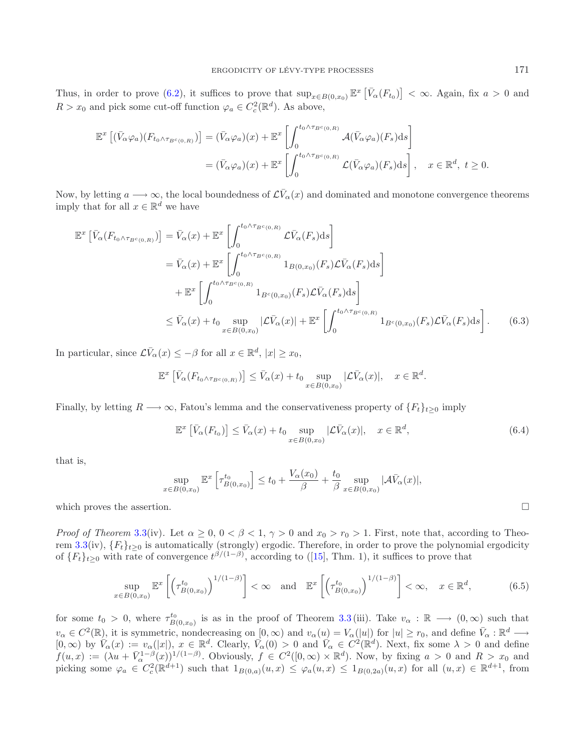Thus, in order to prove [\(6.2\)](#page-16-0), it suffices to prove that  $\sup_{x \in B(0,x_0)} \mathbb{E}^x \left[ \bar{V}_\alpha(F_{t_0}) \right] < \infty$ . Again, fix  $a > 0$  and  $R > x_0$  and pick some cut-off function  $\varphi_a \in C_c^2(\mathbb{R}^d)$ . As above,

$$
\mathbb{E}^{x}\left[ (\bar{V}_{\alpha}\varphi_{a})(F_{t_{0}\wedge\tau_{B^{c}(0,R)}}) \right] = (\bar{V}_{\alpha}\varphi_{a})(x) + \mathbb{E}^{x}\left[ \int_{0}^{t_{0}\wedge\tau_{B^{c}(0,R)}} \mathcal{A}(\bar{V}_{\alpha}\varphi_{a})(F_{s})ds \right]
$$

$$
= (\bar{V}_{\alpha}\varphi_{a})(x) + \mathbb{E}^{x}\left[ \int_{0}^{t_{0}\wedge\tau_{B^{c}(0,R)}} \mathcal{L}(\bar{V}_{\alpha}\varphi_{a})(F_{s})ds \right], \quad x \in \mathbb{R}^{d}, t \ge 0.
$$

Now, by letting  $a \longrightarrow \infty$ , the local boundedness of  $\mathcal{L} \overline{V}_{\alpha}(x)$  and dominated and monotone convergence theorems imply that for all  $x \in \mathbb{R}^d$  we have

$$
\mathbb{E}^{x} \left[ \bar{V}_{\alpha}(F_{t_{0}\wedge\tau_{B^{c}(0,R)}}) \right] = \bar{V}_{\alpha}(x) + \mathbb{E}^{x} \left[ \int_{0}^{t_{0}\wedge\tau_{B^{c}(0,R)}} \mathcal{L}\bar{V}_{\alpha}(F_{s}) ds \right]
$$
  
\n
$$
= \bar{V}_{\alpha}(x) + \mathbb{E}^{x} \left[ \int_{0}^{t_{0}\wedge\tau_{B^{c}(0,R)}} 1_{B(0,x_{0})}(F_{s}) \mathcal{L}\bar{V}_{\alpha}(F_{s}) ds \right]
$$
  
\n
$$
+ \mathbb{E}^{x} \left[ \int_{0}^{t_{0}\wedge\tau_{B^{c}(0,R)}} 1_{B^{c}(0,x_{0})}(F_{s}) \mathcal{L}\bar{V}_{\alpha}(F_{s}) ds \right]
$$
  
\n
$$
\leq \bar{V}_{\alpha}(x) + t_{0} \sup_{x \in B(0,x_{0})} |\mathcal{L}\bar{V}_{\alpha}(x)| + \mathbb{E}^{x} \left[ \int_{0}^{t_{0}\wedge\tau_{B^{c}(0,R)}} 1_{B^{c}(0,x_{0})}(F_{s}) \mathcal{L}\bar{V}_{\alpha}(F_{s}) ds \right].
$$
 (6.3)

In particular, since  $\mathcal{L}\bar{V}_{\alpha}(x) \leq -\beta$  for all  $x \in \mathbb{R}^{d}$ ,  $|x| \geq x_0$ ,

$$
\mathbb{E}^{x}\left[\bar{V}_{\alpha}(F_{t_{0}\wedge\tau_{B^{c}(0,R)}})\right] \leq \bar{V}_{\alpha}(x)+t_{0}\sup_{x\in B(0,x_{0})}|\mathcal{L}\bar{V}_{\alpha}(x)|, \quad x\in\mathbb{R}^{d}.
$$

Finally, by letting  $R \longrightarrow \infty$ , Fatou's lemma and the conservativeness property of  $\{F_t\}_{t>0}$  imply

$$
\mathbb{E}^x \left[ \bar{V}_\alpha(F_{t_0}) \right] \le \bar{V}_\alpha(x) + t_0 \sup_{x \in B(0, x_0)} |\mathcal{L}\bar{V}_\alpha(x)|, \quad x \in \mathbb{R}^d,
$$
\n(6.4)

that is,

$$
\sup_{x \in B(0,x_0)} \mathbb{E}^x \left[ \tau^{t_0}_{B(0,x_0)} \right] \le t_0 + \frac{V_\alpha(x_0)}{\beta} + \frac{t_0}{\beta} \sup_{x \in B(0,x_0)} |\mathcal{A}\bar{V}_\alpha(x)|,
$$

which proves the assertion.

*Proof of Theorem* [3.3\(](#page-5-0)iv). Let  $\alpha \geq 0$ ,  $0 < \beta < 1$ ,  $\gamma > 0$  and  $x_0 > r_0 > 1$ . First, note that, according to Theo-rem [3.3\(](#page-5-0)iv),  ${F_t}_{t\geq0}$  is automatically (strongly) ergodic. Therefore, in order to prove the polynomial ergodicity of  ${F_t}_{t\geq0}$  with rate of convergence  $t^{\beta/(1-\beta)}$ , according to ([\[15\]](#page-22-6), Thm. 1), it suffices to prove that

$$
\sup_{x \in B(0,x_0)} \mathbb{E}^x \left[ \left( \tau_{B(0,x_0)}^{t_0} \right)^{1/(1-\beta)} \right] < \infty \quad \text{and} \quad \mathbb{E}^x \left[ \left( \tau_{B(0,x_0)}^{t_0} \right)^{1/(1-\beta)} \right] < \infty, \quad x \in \mathbb{R}^d, \tag{6.5}
$$

for some  $t_0 > 0$ , where  $\tau^{t_0}_{B(0,x_0)}$  is as in the proof of Theorem [3.3](#page-5-0) (iii). Take  $v_\alpha : \mathbb{R} \longrightarrow (0,\infty)$  such that  $v_{\alpha} \in C^2(\mathbb{R})$ , it is symmetric, nondecreasing on  $[0, \infty)$  and  $v_{\alpha}(u) = V_{\alpha}(|u|)$  for  $|u| \ge r_0$ , and define  $\bar{V}_{\alpha}: \mathbb{R}^d \longrightarrow$  $[0,\infty)$  by  $\tilde{V}_\alpha(x) := v_\alpha(|x|), x \in \mathbb{R}^d$ . Clearly,  $\tilde{V}_\alpha(0) > 0$  and  $\tilde{V}_\alpha \in C^2(\mathbb{R}^d)$ . Next, fix some  $\lambda > 0$  and define  $f(u, x) := (\lambda u + \overline{V}_{\alpha}^{1-\beta}(x))^{1/(1-\beta)}$ . Obviously,  $f \in C^2([0, \infty) \times \mathbb{R}^d)$ . Now, by fixing  $a > 0$  and  $R > x_0$  and picking some  $\varphi_a \in C_c^2(\mathbb{R}^{d+1})$  such that  $1_{B(0,a)}(u,x) \leq \varphi_a(u,x) \leq 1_{B(0,2a)}(u,x)$  for all  $(u,x) \in \mathbb{R}^{d+1}$ , from

<span id="page-17-2"></span><span id="page-17-1"></span><span id="page-17-0"></span> $\Box$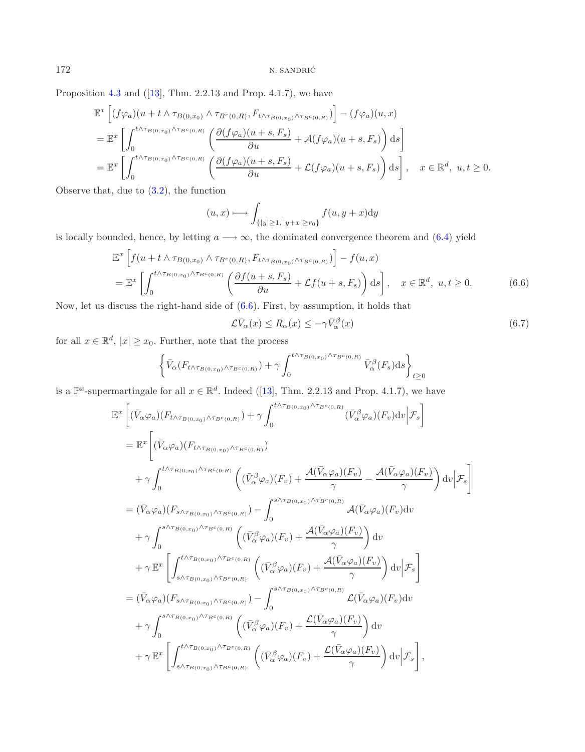Proposition [4.3](#page-11-0) and  $([13], Thm. 2.2.13$  $([13], Thm. 2.2.13$  $([13], Thm. 2.2.13$  and Prop. 4.1.7), we have

$$
\mathbb{E}^{x}\left[ (f\varphi_{a})(u+t\wedge\tau_{B(0,x_{0})}\wedge\tau_{B^{c}(0,R)},F_{t\wedge\tau_{B(0,x_{0})}\wedge\tau_{B^{c}(0,R)}}) \right] - (f\varphi_{a})(u,x)
$$
\n
$$
= \mathbb{E}^{x}\left[ \int_{0}^{t\wedge\tau_{B(0,x_{0})}\wedge\tau_{B^{c}(0,R)}} \left( \frac{\partial (f\varphi_{a})(u+s,F_{s})}{\partial u} + A(f\varphi_{a})(u+s,F_{s}) \right) ds \right]
$$
\n
$$
= \mathbb{E}^{x}\left[ \int_{0}^{t\wedge\tau_{B(0,x_{0})}\wedge\tau_{B^{c}(0,R)}} \left( \frac{\partial (f\varphi_{a})(u+s,F_{s})}{\partial u} + \mathcal{L}(f\varphi_{a})(u+s,F_{s}) \right) ds \right], \quad x \in \mathbb{R}^{d}, u, t \ge 0.
$$

Observe that, due to [\(3.2\)](#page-6-0), the function

<span id="page-18-1"></span><span id="page-18-0"></span>
$$
(u, x) \longmapsto \int_{\{|y| \ge 1, |y+x| \ge r_0\}} f(u, y+x) \mathrm{d}y
$$

is locally bounded, hence, by letting  $a \longrightarrow \infty$ , the dominated convergence theorem and [\(6.4\)](#page-17-0) yield

$$
\mathbb{E}^{x} \left[ f(u+t \wedge \tau_{B(0,x_{0})} \wedge \tau_{B^{c}(0,R)}, F_{t \wedge \tau_{B(0,x_{0})} \wedge \tau_{B^{c}(0,R)}}) \right] - f(u,x)
$$
\n
$$
= \mathbb{E}^{x} \left[ \int_{0}^{t \wedge \tau_{B(0,x_{0})} \wedge \tau_{B^{c}(0,R)}} \left( \frac{\partial f(u+s,F_{s})}{\partial u} + \mathcal{L}f(u+s,F_{s}) \right) ds \right], \quad x \in \mathbb{R}^{d}, u, t \ge 0.
$$
\n(6.6)

Now, let us discuss the right-hand side of [\(6.6\)](#page-18-0). First, by assumption, it holds that

$$
\mathcal{L}\bar{V}_{\alpha}(x) \le R_{\alpha}(x) \le -\gamma \bar{V}_{\alpha}^{\beta}(x) \tag{6.7}
$$

for all  $x \in \mathbb{R}^d$ ,  $|x| \geq x_0$ . Further, note that the process

$$
\left\{\bar{V}_{\alpha}(F_{t \wedge \tau_{B(0,x_0)} \wedge \tau_{B^c(0,R)}}) + \gamma \int_0^{t \wedge \tau_{B(0,x_0)} \wedge \tau_{B^c(0,R)}} \bar{V}_{\alpha}^{\beta}(F_s) ds\right\}_{t \geq 0}
$$

is a  $\mathbb{P}^x$ -supermartingale for all  $x \in \mathbb{R}^d$ . Indeed ([\[13\]](#page-22-32), Thm. 2.2.13 and Prop. 4.1.7), we have

$$
\mathbb{E}^{x}\left[(\bar{V}_{\alpha}\varphi_{a})(F_{t\wedge\tau_{B(0,x_{0})}\wedge\tau_{B^{c}(0,R)}})+\gamma\int_{0}^{t\wedge\tau_{B(0,x_{0})}\wedge\tau_{B^{c}(0,R)}}(\bar{V}_{\alpha}^{\beta}\varphi_{a})(F_{v})dv\Big|\mathcal{F}_{s}\right]
$$
\n
$$
=\mathbb{E}^{x}\left[(\bar{V}_{\alpha}\varphi_{a})(F_{t\wedge\tau_{B(0,x_{0})}\wedge\tau_{B^{c}(0,R)}})}\left((\bar{V}_{\alpha}^{\beta}\varphi_{a})(F_{v})+\frac{\mathcal{A}(\bar{V}_{\alpha}\varphi_{a})(F_{v})}{\gamma}-\frac{\mathcal{A}(\bar{V}_{\alpha}\varphi_{a})(F_{v})}{\gamma}\right)dv\Big|\mathcal{F}_{s}\right]
$$
\n
$$
=(\bar{V}_{\alpha}\varphi_{a})(F_{s\wedge\tau_{B(0,x_{0})}\wedge\tau_{B^{c}(0,R)}})}\left((\bar{V}_{\alpha}^{\beta}\varphi_{a})(F_{v})+\frac{\mathcal{A}(\bar{V}_{\alpha}\varphi_{a})(F_{v})}{\gamma}-\frac{\mathcal{A}(\bar{V}_{\alpha}\varphi_{a})(F_{v})}{\gamma}\right)dv\Big|\mathcal{F}_{s}\right]
$$
\n
$$
+\gamma\int_{0}^{s\wedge\tau_{B(0,x_{0})}\wedge\tau_{B^{c}(0,R)}}\left((\bar{V}_{\alpha}^{\beta}\varphi_{a})(F_{v})+\frac{\mathcal{A}(\bar{V}_{\alpha}\varphi_{a})(F_{v})}{\gamma}\right)dv\Big|\mathcal{F}_{s}\right]
$$
\n
$$
+\gamma\mathbb{E}^{x}\left[\int_{s\wedge\tau_{B(0,x_{0})}\wedge\tau_{B^{c}(0,R)}}^{t\wedge\tau_{B(0,x_{0})}\wedge\tau_{B^{c}(0,R)}}\left((\bar{V}_{\alpha}^{\beta}\varphi_{a})(F_{v})+\frac{\mathcal{A}(\bar{V}_{\alpha}\varphi_{a})(F_{v})}{\gamma}\right)dv\Big|\mathcal{F}_{s}\right]
$$
\n
$$
=(\bar{V}_{\alpha}\varphi_{a})(F_{s\wedge\tau_{B(0,x_{0})}\wedge\tau_{B^{c}(0,R)}})}\left((\bar{V}_{\alpha}^{\beta}\
$$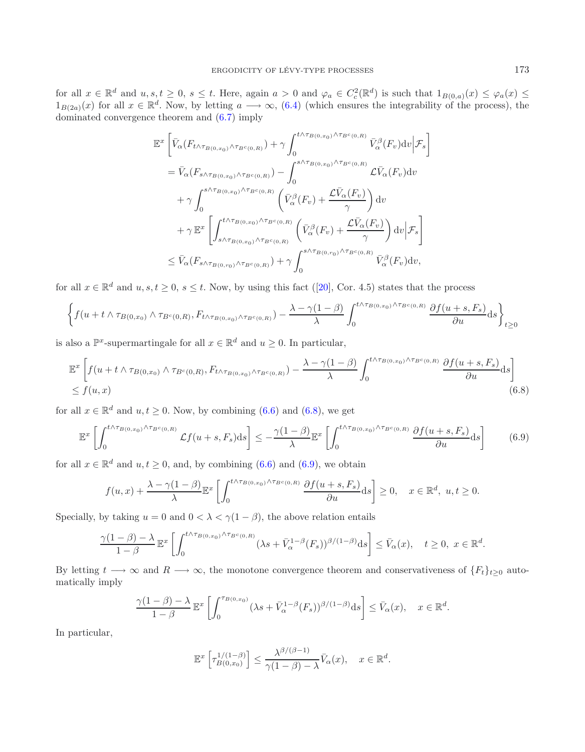for all  $x \in \mathbb{R}^d$  and  $u, s, t \geq 0$ ,  $s \leq t$ . Here, again  $a > 0$  and  $\varphi_a \in C_c^2(\mathbb{R}^d)$  is such that  $1_{B(0,a)}(x) \leq \varphi_a(x) \leq t$  $1_{B(2a)}(x)$  for all  $x \in \mathbb{R}^d$ . Now, by letting  $a \longrightarrow \infty$ , [\(6.4\)](#page-17-0) (which ensures the integrability of the process), the dominated convergence theorem and [\(6.7\)](#page-18-1) imply

<span id="page-19-1"></span><span id="page-19-0"></span>
$$
\mathbb{E}^{x} \left[ \bar{V}_{\alpha}(F_{t \wedge \tau_{B(0,x_{0})} \wedge \tau_{B^{c}(0,R)}}) + \gamma \int_{0}^{t \wedge \tau_{B(0,x_{0})} \wedge \tau_{B^{c}(0,R)}} \bar{V}_{\alpha}^{\beta}(F_{v}) dv \Big| \mathcal{F}_{s} \right]
$$
\n
$$
= \bar{V}_{\alpha}(F_{s \wedge \tau_{B(0,x_{0})} \wedge \tau_{B^{c}(0,R)}}) - \int_{0}^{s \wedge \tau_{B(0,x_{0})} \wedge \tau_{B^{c}(0,R)}} \mathcal{L}\bar{V}_{\alpha}(F_{v}) dv
$$
\n
$$
+ \gamma \int_{0}^{s \wedge \tau_{B(0,x_{0})} \wedge \tau_{B^{c}(0,R)}} \left( \bar{V}_{\alpha}^{\beta}(F_{v}) + \frac{\mathcal{L}\bar{V}_{\alpha}(F_{v})}{\gamma} \right) dv
$$
\n
$$
+ \gamma \mathbb{E}^{x} \left[ \int_{s \wedge \tau_{B(0,x_{0})} \wedge \tau_{B^{c}(0,R)}}^{\tau_{\beta}(F_{v})} \left( \bar{V}_{\alpha}^{\beta}(F_{v}) + \frac{\mathcal{L}\bar{V}_{\alpha}(F_{v})}{\gamma} \right) dv \Big| \mathcal{F}_{s} \right]
$$
\n
$$
\leq \bar{V}_{\alpha}(F_{s \wedge \tau_{B(0,r_{0})} \wedge \tau_{B^{c}(0,R)}}) + \gamma \int_{0}^{s \wedge \tau_{B(0,r_{0})} \wedge \tau_{B^{c}(0,R)}} \bar{V}_{\alpha}^{\beta}(F_{v}) dv,
$$

for all  $x \in \mathbb{R}^d$  and  $u, s, t \geq 0, s \leq t$ . Now, by using this fact ([\[20](#page-22-35)], Cor. 4.5) states that the process

$$
\left\{ f(u+t \wedge \tau_{B(0,x_0)} \wedge \tau_{B^c(0,R)}, F_{t \wedge \tau_{B(0,x_0)} \wedge \tau_{B^c(0,R)}}) - \frac{\lambda - \gamma(1-\beta)}{\lambda} \int_0^{t \wedge \tau_{B(0,x_0)} \wedge \tau_{B^c(0,R)}} \frac{\partial f(u+s,F_s)}{\partial u} ds \right\}_{t \geq 0}
$$

is also a  $\mathbb{P}^x$ -supermartingale for all  $x \in \mathbb{R}^d$  and  $u \geq 0$ . In particular,

$$
\mathbb{E}^{x} \left[ f(u+t \wedge \tau_{B(0,x_{0})} \wedge \tau_{B^{c}(0,R)}, F_{t \wedge \tau_{B(0,x_{0})} \wedge \tau_{B^{c}(0,R)}}) - \frac{\lambda - \gamma(1-\beta)}{\lambda} \int_{0}^{t \wedge \tau_{B(0,x_{0})} \wedge \tau_{B^{c}(0,R)}} \frac{\partial f(u+s, F_{s})}{\partial u} ds \right] \tag{6.8}
$$

for all  $x \in \mathbb{R}^d$  and  $u, t \ge 0$ . Now, by combining [\(6.6\)](#page-18-0) and [\(6.8\)](#page-19-0), we get

$$
\mathbb{E}^{x} \left[ \int_{0}^{t \wedge \tau_{B(0,x_{0})} \wedge \tau_{B^{c}(0,R)}} \mathcal{L}f(u+s,F_{s}) ds \right] \leq -\frac{\gamma (1-\beta)}{\lambda} \mathbb{E}^{x} \left[ \int_{0}^{t \wedge \tau_{B(0,x_{0})} \wedge \tau_{B^{c}(0,R)}} \frac{\partial f(u+s,F_{s})}{\partial u} ds \right] \tag{6.9}
$$

for all  $x \in \mathbb{R}^d$  and  $u, t \geq 0$ , and, by combining [\(6.6\)](#page-18-0) and [\(6.9\)](#page-19-1), we obtain

$$
f(u,x) + \frac{\lambda - \gamma(1-\beta)}{\lambda} \mathbb{E}^x \left[ \int_0^{t \wedge \tau_{B(0,x_0)} \wedge \tau_{B^c(0,R)}} \frac{\partial f(u+s, F_s)}{\partial u} ds \right] \ge 0, \quad x \in \mathbb{R}^d, \ u, t \ge 0.
$$

Specially, by taking  $u = 0$  and  $0 < \lambda < \gamma(1 - \beta)$ , the above relation entails

$$
\frac{\gamma(1-\beta)-\lambda}{1-\beta}\mathbb{E}^x\left[\int_0^{t\wedge\tau_{B(0,x_0)}\wedge\tau_{B^c(0,R)}}(\lambda s+\bar{V}_{\alpha}^{1-\beta}(F_s))^{\beta/(1-\beta)}\mathrm{d} s\right]\leq \bar{V}_{\alpha}(x),\quad t\geq 0,\ x\in\mathbb{R}^d.
$$

By letting  $t \to \infty$  and  $R \to \infty$ , the monotone convergence theorem and conservativeness of  $\{F_t\}_{t\geq 0}$  automatically imply

$$
\frac{\gamma(1-\beta)-\lambda}{1-\beta}\mathbb{E}^x\left[\int_0^{\tau_{B(0,x_0)}} (\lambda s+\bar{V}_{\alpha}^{1-\beta}(F_s))^{\beta/(1-\beta)} ds\right] \leq \bar{V}_{\alpha}(x), \quad x \in \mathbb{R}^d.
$$

In particular,

$$
\mathbb{E}^{x}\left[\tau_{B(0,x_0)}^{1/(1-\beta)}\right] \leq \frac{\lambda^{\beta/(\beta-1)}}{\gamma(1-\beta)-\lambda} \bar{V}_{\alpha}(x), \quad x \in \mathbb{R}^d.
$$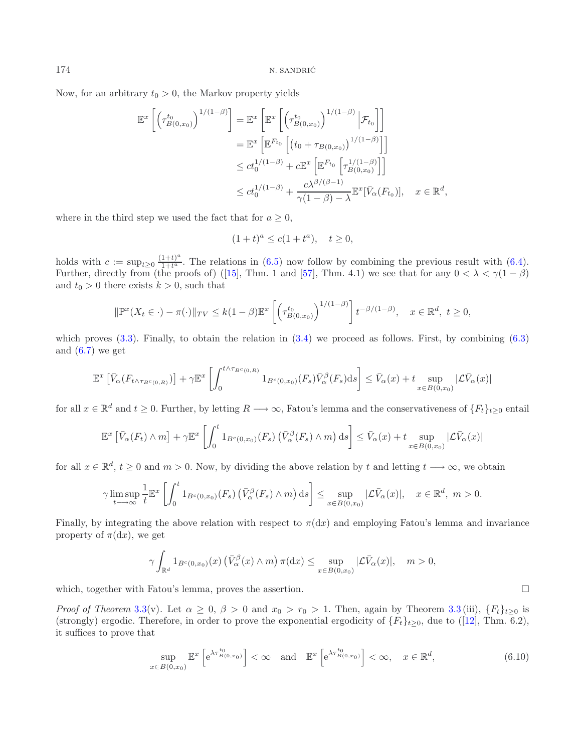Now, for an arbitrary  $t_0 > 0$ , the Markov property yields

$$
\mathbb{E}^{x}\left[\left(\tau_{B(0,x_0)}^{t_0}\right)^{1/(1-\beta)}\right] = \mathbb{E}^{x}\left[\mathbb{E}^{x}\left[\left(\tau_{B(0,x_0)}^{t_0}\right)^{1/(1-\beta)}\Big|\mathcal{F}_{t_0}\right]\right]
$$

$$
= \mathbb{E}^{x}\left[\mathbb{E}^{F_{t_0}}\left[\left(t_0 + \tau_{B(0,x_0)}\right)^{1/(1-\beta)}\right]\right]
$$

$$
\le ct_0^{1/(1-\beta)} + c\mathbb{E}^{x}\left[\mathbb{E}^{F_{t_0}}\left[\tau_{B(0,x_0)}^{1/(1-\beta)}\right]\right]
$$

$$
\le ct_0^{1/(1-\beta)} + \frac{c\lambda^{\beta/(\beta-1)}}{\gamma(1-\beta)-\lambda}\mathbb{E}^{x}[\bar{V}_{\alpha}(F_{t_0})], \quad x \in \mathbb{R}^d,
$$

where in the third step we used the fact that for  $a \geq 0$ ,

$$
(1+t)^a \le c(1+t^a), \quad t \ge 0,
$$

holds with  $c := \sup_{t\geq 0} \frac{(1+t)^a}{1+t^a}$ . The relations in [\(6.5\)](#page-17-1) now follow by combining the previous result with [\(6.4\)](#page-17-0). Further, directly from (the proofs of) ([\[15\]](#page-22-6), Thm. 1 and [\[57](#page-23-25)], Thm. 4.1) we see that for any  $0 < \lambda < \gamma(1 - \beta)$ and  $t_0 > 0$  there exists  $k > 0$ , such that

$$
\|\mathbb{P}^x(X_t \in \cdot) - \pi(\cdot)\|_{TV} \le k(1-\beta)\mathbb{E}^x \left[ \left(\tau^{t_0}_{B(0,x_0)}\right)^{1/(1-\beta)} \right] t^{-\beta/(1-\beta)}, \quad x \in \mathbb{R}^d, \ t \ge 0,
$$

which proves  $(3.3)$ . Finally, to obtain the relation in  $(3.4)$  we proceed as follows. First, by combining  $(6.3)$ and  $(6.7)$  we get

$$
\mathbb{E}^{x}\left[\bar{V}_{\alpha}(F_{t \wedge \tau_{B^{c}(0,R)}})\right] + \gamma \mathbb{E}^{x}\left[\int_{0}^{t \wedge \tau_{B^{c}(0,R)}} 1_{B^{c}(0,x_{0})}(F_{s})\bar{V}_{\alpha}^{\beta}(F_{s})ds\right] \leq \bar{V}_{\alpha}(x) + t \sup_{x \in B(0,x_{0})}|\mathcal{L}\bar{V}_{\alpha}(x)|
$$

for all  $x \in \mathbb{R}^d$  and  $t \geq 0$ . Further, by letting  $R \longrightarrow \infty$ , Fatou's lemma and the conservativeness of  $\{F_t\}_{t\geq 0}$  entail

$$
\mathbb{E}^{x}\left[\bar{V}_{\alpha}(F_{t})\wedge m\right]+\gamma \mathbb{E}^{x}\left[\int_{0}^{t}1_{B^{c}(0,x_{0})}(F_{s})\left(\bar{V}_{\alpha}^{\beta}(F_{s})\wedge m\right) \mathrm{d}s\right]\leq \bar{V}_{\alpha}(x)+t\sup_{x\in B(0,x_{0})}|\mathcal{L}\bar{V}_{\alpha}(x)|
$$

for all  $x \in \mathbb{R}^d$ ,  $t \geq 0$  and  $m > 0$ . Now, by dividing the above relation by t and letting  $t \longrightarrow \infty$ , we obtain

$$
\gamma \limsup_{t \to \infty} \frac{1}{t} \mathbb{E}^x \left[ \int_0^t \mathbb{1}_{B^c(0,x_0)}(F_s) \left( \bar{V}^{\beta}_{\alpha}(F_s) \wedge m \right) ds \right] \leq \sup_{x \in B(0,x_0)} |\mathcal{L}\bar{V}_{\alpha}(x)|, \quad x \in \mathbb{R}^d, \ m > 0.
$$

Finally, by integrating the above relation with respect to  $\pi(dx)$  and employing Fatou's lemma and invariance property of  $\pi(dx)$ , we get

<span id="page-20-0"></span>
$$
\gamma \int_{\mathbb{R}^d} 1_{B^c(0,x_0)}(x) \left(\bar{V}_{\alpha}^{\beta}(x) \wedge m\right) \pi(\mathrm{d}x) \le \sup_{x \in B(0,x_0)} |\mathcal{L}\bar{V}_{\alpha}(x)|, \quad m > 0,
$$

which, together with Fatou's lemma, proves the assertion.  $\Box$ 

*Proof of Theorem* [3.3\(](#page-5-0)v). Let  $\alpha \geq 0$ ,  $\beta > 0$  and  $x_0 > r_0 > 1$ . Then, again by Theorem [3.3](#page-5-0) (iii),  $\{F_t\}_{t>0}$  is (strongly) ergodic. Therefore, in order to prove the exponential ergodicity of  $\{F_t\}_{t\geq 0}$ , due to ([\[12\]](#page-22-31), Thm. 6.2), it suffices to prove that

$$
\sup_{x \in B(0,x_0)} \mathbb{E}^x \left[ e^{\lambda \tau_{B(0,x_0)}^{t_0}} \right] < \infty \quad \text{and} \quad \mathbb{E}^x \left[ e^{\lambda \tau_{B(0,x_0)}^{t_0}} \right] < \infty, \quad x \in \mathbb{R}^d,
$$
\n(6.10)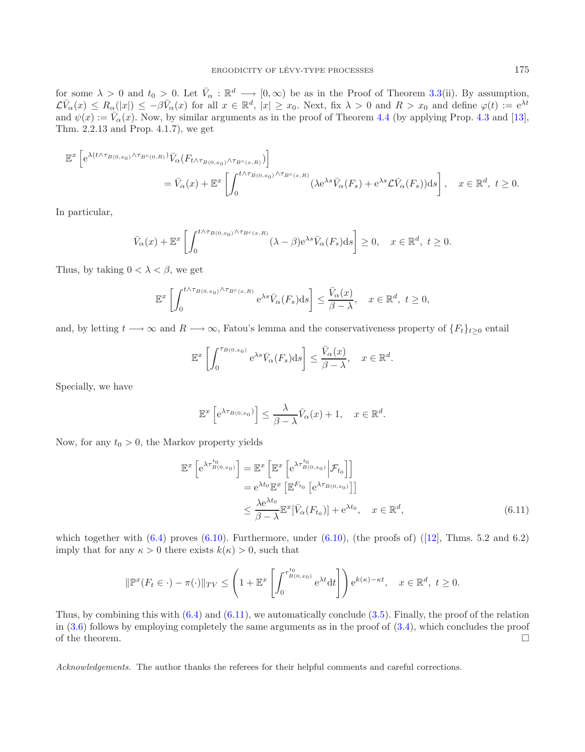for some  $\lambda > 0$  and  $t_0 > 0$ . Let  $\bar{V}_\alpha : \mathbb{R}^d \longrightarrow [0,\infty)$  be as in the Proof of Theorem [3.3\(](#page-5-0)ii). By assumption,  $\mathcal{L}(\bar{V}_{\alpha}(x)) \leq R_{\alpha}(|x|) \leq -\beta \bar{V}_{\alpha}(x)$  for all  $x \in \mathbb{R}^{d}$ ,  $|x| \geq x_0$ . Next, fix  $\lambda > 0$  and  $R > x_0$  and define  $\varphi(t) := e^{\lambda t}$ and  $\psi(x) := \overline{V}_{\alpha}(x)$ . Now, by similar arguments as in the proof of Theorem [4.4](#page-12-2) (by applying Prop. [4.3](#page-11-0) and [\[13](#page-22-32)], Thm. 2.2.13 and Prop. 4.1.7), we get

$$
\mathbb{E}^{x} \left[ e^{\lambda(t \wedge \tau_{B(0,x_0)} \wedge \tau_{B^c(0,R)})} \bar{V}_{\alpha}(F_{t \wedge \tau_{B(0,x_0)} \wedge \tau_{B^c(x,R)})} ) \right]
$$
  
=  $\bar{V}_{\alpha}(x) + \mathbb{E}^{x} \left[ \int_{0}^{t \wedge \tau_{B(0,x_0)} \wedge \tau_{B^c(x,R)}} (\lambda e^{\lambda s} \bar{V}_{\alpha}(F_s) + e^{\lambda s} \mathcal{L} \bar{V}_{\alpha}(F_s)) ds \right], \quad x \in \mathbb{R}^d, t \ge 0.$ 

In particular,

$$
\bar{V}_{\alpha}(x) + \mathbb{E}^{x} \left[ \int_{0}^{t \wedge \tau_{B(0,x_{0})} \wedge \tau_{B^{c}(x,R)}} (\lambda - \beta) e^{\lambda s} \bar{V}_{\alpha}(F_{s}) ds \right] \geq 0, \quad x \in \mathbb{R}^{d}, \ t \geq 0.
$$

Thus, by taking  $0 < \lambda < \beta$ , we get

$$
\mathbb{E}^{x}\left[\int_{0}^{t\wedge\tau_{B(0,x_{0})}\wedge\tau_{B^{c}(x,R)}}\mathrm{e}^{\lambda s}\bar{V}_{\alpha}(F_{s})\mathrm{d}s\right]\leq\frac{\bar{V}_{\alpha}(x)}{\beta-\lambda},\quad x\in\mathbb{R}^{d},\ t\geq0,
$$

and, by letting  $t \longrightarrow \infty$  and  $R \longrightarrow \infty$ , Fatou's lemma and the conservativeness property of  $\{F_t\}_{t>0}$  entail

$$
\mathbb{E}^{x}\left[\int_{0}^{\tau_{B(0,x_{0})}} e^{\lambda s} \bar{V}_{\alpha}(F_{s}) \mathrm{d}s\right] \leq \frac{\bar{V}_{\alpha}(x)}{\beta - \lambda}, \quad x \in \mathbb{R}^{d}.
$$

Specially, we have

<span id="page-21-0"></span>
$$
\mathbb{E}^{x}\left[e^{\lambda \tau_{B(0,x_0)}}\right] \leq \frac{\lambda}{\beta - \lambda} \bar{V}_{\alpha}(x) + 1, \quad x \in \mathbb{R}^d.
$$

Now, for any  $t_0 > 0$ , the Markov property yields

$$
\mathbb{E}^{x} \left[ e^{\lambda \tau_{B(0,x_0)}^{t_0}} \right] = \mathbb{E}^{x} \left[ \mathbb{E}^{x} \left[ e^{\lambda \tau_{B(0,x_0)}^{t_0}} \middle| \mathcal{F}_{t_0} \right] \right]
$$
  
\n
$$
= e^{\lambda t_0} \mathbb{E}^{x} \left[ \mathbb{E}^{F_{t_0}} \left[ e^{\lambda \tau_{B(0,x_0)}} \right] \right]
$$
  
\n
$$
\leq \frac{\lambda e^{\lambda t_0}}{\beta - \lambda} \mathbb{E}^{x} \left[ \bar{V}_{\alpha}(F_{t_0}) \right] + e^{\lambda t_0}, \quad x \in \mathbb{R}^d,
$$
\n(6.11)

which together with  $(6.4)$  proves  $(6.10)$ . Furthermore, under  $(6.10)$ , (the proofs of)  $(12)$ , Thms. 5.2 and 6.2) imply that for any  $\kappa > 0$  there exists  $k(\kappa) > 0$ , such that

$$
\|\mathbb{P}^x(F_t \in \cdot) - \pi(\cdot)\|_{TV} \le \left(1 + \mathbb{E}^x \left[\int_0^{\tau_{B(0,x_0)}^{t_0}} e^{\lambda t} dt\right]\right) e^{k(\kappa) - \kappa t}, \quad x \in \mathbb{R}^d, \ t \ge 0.
$$

Thus, by combining this with  $(6.4)$  and  $(6.11)$ , we automatically conclude  $(3.5)$ . Finally, the proof of the relation in  $(3.6)$  follows by employing completely the same arguments as in the proof of  $(3.4)$ , which concludes the proof of the theorem.  $\Box$ 

*Acknowledgements.* The author thanks the referees for their helpful comments and careful corrections.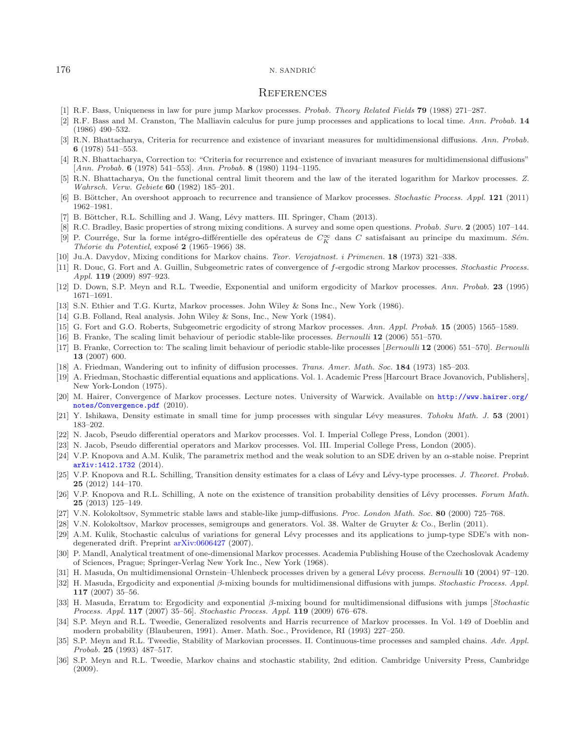#### **REFERENCES**

- <span id="page-22-29"></span>[1] R.F. Bass, Uniqueness in law for pure jump Markov processes. *Probab. Theory Related Fields* **79** (1988) 271–287.
- <span id="page-22-21"></span>[2] R.F. Bass and M. Cranston, The Malliavin calculus for pure jump processes and applications to local time. *Ann. Probab.* **14** (1986) 490–532.
- <span id="page-22-1"></span>[3] R.N. Bhattacharya, Criteria for recurrence and existence of invariant measures for multidimensional diffusions. *Ann. Probab.* **6** (1978) 541–553.
- <span id="page-22-2"></span>[4] R.N. Bhattacharya, Correction to: "Criteria for recurrence and existence of invariant measures for multidimensional diffusions" [*Ann. Probab.* **6** (1978) 541–553]. *Ann. Probab.* **8** (1980) 1194–1195.
- <span id="page-22-25"></span>[5] R.N. Bhattacharya, On the functional central limit theorem and the law of the iterated logarithm for Markov processes. *Z. Wahrsch. Verw. Gebiete* **60** (1982) 185–201.
- <span id="page-22-8"></span>[6] B. B¨ottcher, An overshoot approach to recurrence and transience of Markov processes. *Stochastic Process. Appl.* **121** (2011) 1962–1981.
- [7] B. Böttcher, R.L. Schilling and J. Wang, Lévy matters. III. Springer, Cham (2013).
- <span id="page-22-16"></span>[8] R.C. Bradley, Basic properties of strong mixing conditions. A survey and some open questions. *Probab. Surv.* **2** (2005) 107–144.
- <span id="page-22-27"></span><span id="page-22-14"></span>[9] P. Courrége, Sur la forme intégro-différentielle des opérateus de C<sub>o</sub><sub>K</sub> dans C satisfaisant au principe du maximum. *Sém. Théorie du Potentiel*, exposé 2 (1965–1966) 38.
- <span id="page-22-28"></span>[10] Ju.A. Davydov, Mixing conditions for Markov chains. *Teor. Verojatnost. i Primenen.* **18** (1973) 321–338.
- <span id="page-22-5"></span>[11] R. Douc, G. Fort and A. Guillin, Subgeometric rates of convergence of f-ergodic strong Markov processes. *Stochastic Process. Appl.* **119** (2009) 897–923.
- <span id="page-22-31"></span>[12] D. Down, S.P. Meyn and R.L. Tweedie, Exponential and uniform ergodicity of Markov processes. *Ann. Probab.* **23** (1995) 1671–1691.
- <span id="page-22-32"></span>[13] S.N. Ethier and T.G. Kurtz, Markov processes. John Wiley & Sons Inc., New York (1986).
- <span id="page-22-33"></span>[14] G.B. Folland, Real analysis. John Wiley & Sons, Inc., New York (1984).
- <span id="page-22-6"></span>[15] G. Fort and G.O. Roberts, Subgeometric ergodicity of strong Markov processes. *Ann. Appl. Probab.* **15** (2005) 1565–1589.
- <span id="page-22-9"></span>[16] B. Franke, The scaling limit behaviour of periodic stable-like processes. *Bernoulli* **12** (2006) 551–570.
- <span id="page-22-10"></span>[17] B. Franke, Correction to: The scaling limit behaviour of periodic stable-like processes [*Bernoulli* **12** (2006) 551–570]. *Bernoulli* **13** (2007) 600.
- <span id="page-22-3"></span>[18] A. Friedman, Wandering out to infinity of diffusion processes. *Trans. Amer. Math. Soc.* **184** (1973) 185–203.
- <span id="page-22-4"></span>[19] A. Friedman, Stochastic differential equations and applications. Vol. 1. Academic Press [Harcourt Brace Jovanovich, Publishers], New York-London (1975).
- <span id="page-22-35"></span>[20] M. Hairer, Convergence of Markov processes. Lecture notes. University of Warwick. Available on [http://www.hairer.org/](http://www.hairer.org/notes/Convergence.pdf) [notes/Convergence.pdf](http://www.hairer.org/notes/Convergence.pdf) (2010).
- <span id="page-22-22"></span>[21] Y. Ishikawa, Density estimate in small time for jump processes with singular L´evy measures. *Tohoku Math. J.* **53** (2001) 183–202.
- <span id="page-22-15"></span>[22] N. Jacob, Pseudo differential operators and Markov processes. Vol. I. Imperial College Press, London (2001).
- <span id="page-22-13"></span>[23] N. Jacob, Pseudo differential operators and Markov processes. Vol. III. Imperial College Press, London (2005).
- <span id="page-22-23"></span>[24] V.P. Knopova and A.M. Kulik, The parametrix method and the weak solution to an SDE driven by an α-stable noise. Preprint [arXiv:1412.1732](http://arxiv.org/abs/1412.1732) (2014).
- <span id="page-22-19"></span>[25] V.P. Knopova and R.L. Schilling, Transition density estimates for a class of Lévy and Lévy-type processes. *J. Theoret. Probab.* **25** (2012) 144–170.
- <span id="page-22-20"></span>[26] V.P. Knopova and R.L. Schilling, A note on the existence of transition probability densities of L´evy processes. *Forum Math.* **25** (2013) 125–149.
- <span id="page-22-17"></span>[27] V.N. Kolokoltsov, Symmetric stable laws and stable-like jump-diffusions. *Proc. London Math. Soc.* **80** (2000) 725–768.
- <span id="page-22-18"></span>[28] V.N. Kolokoltsov, Markov processes, semigroups and generators. Vol. 38. Walter de Gruyter & Co., Berlin (2011).
- <span id="page-22-12"></span>[29] A.M. Kulik, Stochastic calculus of variations for general Lévy processes and its applications to jump-type SDE's with nondegenerated drift. Preprint [arXiv:0606427](http://arxiv.org/abs/math/0606427) (2007).
- <span id="page-22-0"></span>[30] P. Mandl, Analytical treatment of one-dimensional Markov processes. Academia Publishing House of the Czechoslovak Academy of Sciences, Prague; Springer-Verlag New York Inc., New York (1968).
- <span id="page-22-7"></span>[31] H. Masuda, On multidimensional Ornstein–Uhlenbeck processes driven by a general L´evy process. *Bernoulli* **10** (2004) 97–120.
- <span id="page-22-11"></span>[32] H. Masuda, Ergodicity and exponential β-mixing bounds for multidimensional diffusions with jumps. *Stochastic Process. Appl.* **117** (2007) 35–56.
- <span id="page-22-24"></span>[33] H. Masuda, Erratum to: Ergodicity and exponential β-mixing bound for multidimensional diffusions with jumps [*Stochastic Process. Appl.* **117** (2007) 35–56]. *Stochastic Process. Appl.* **119** (2009) 676–678.
- <span id="page-22-34"></span>[34] S.P. Meyn and R.L. Tweedie, Generalized resolvents and Harris recurrence of Markov processes. In Vol. 149 of Doeblin and modern probability (Blaubeuren, 1991). Amer. Math. Soc., Providence, RI (1993) 227–250.
- <span id="page-22-30"></span>[35] S.P. Meyn and R.L. Tweedie, Stability of Markovian processes. II. Continuous-time processes and sampled chains. *Adv. Appl. Probab.* **25** (1993) 487–517.
- <span id="page-22-26"></span>[36] S.P. Meyn and R.L. Tweedie, Markov chains and stochastic stability, 2nd edition. Cambridge University Press, Cambridge (2009).